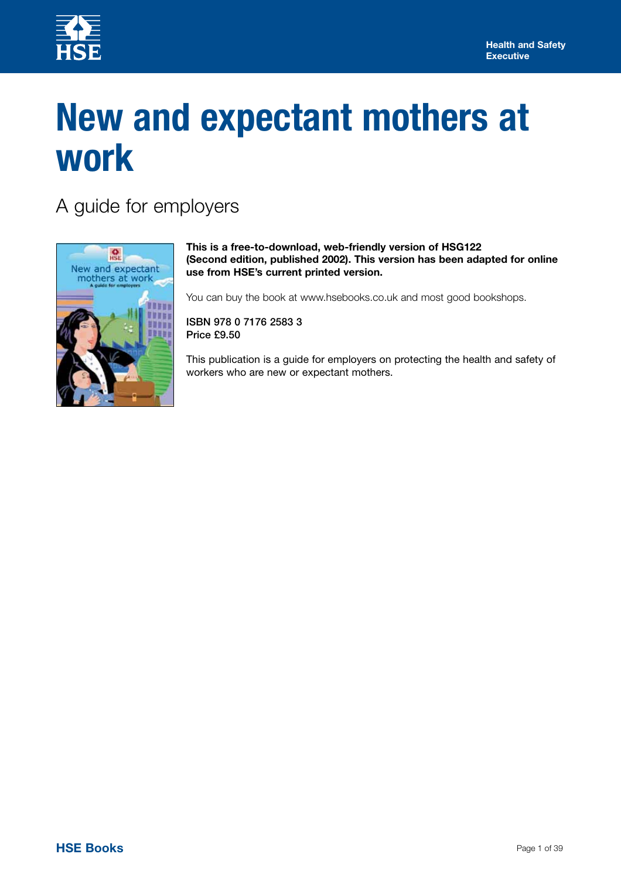

# **New and expectant mothers at work**

A guide for employers



**This is a free-to-download, web-friendly version of HSG122 (Second edition, published 2002). This version has been adapted for online use from HSE's current printed version.** 

You can buy the book at www.hsebooks.co.uk and most good bookshops.

**ISBN 978 0 7176 2583 3 Price £9.50** 

This publication is a guide for employers on protecting the health and safety of workers who are new or expectant mothers.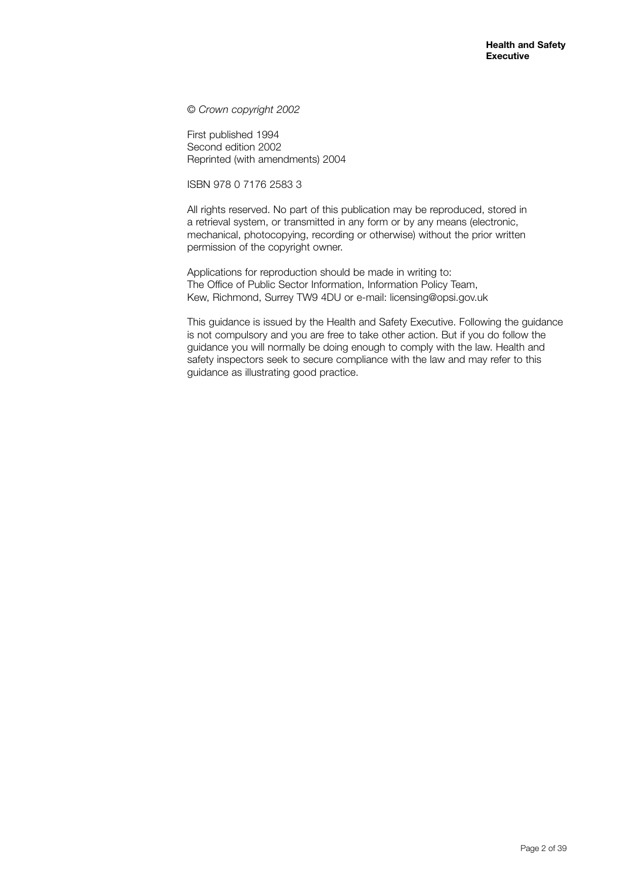© *Crown copyright 2002* 

First published 1994 Second edition 2002 Reprinted (with amendments) 2004

ISBN 978 0 7176 2583 3

All rights reserved. No part of this publication may be reproduced, stored in a retrieval system, or transmitted in any form or by any means (electronic, mechanical, photocopying, recording or otherwise) without the prior written permission of the copyright owner.

Applications for reproduction should be made in writing to: The Office of Public Sector Information, Information Policy Team, Kew, Richmond, Surrey TW9 4DU or e-mail: licensing@opsi.gov.uk

This guidance is issued by the Health and Safety Executive. Following the guidance is not compulsory and you are free to take other action. But if you do follow the guidance you will normally be doing enough to comply with the law. Health and safety inspectors seek to secure compliance with the law and may refer to this guidance as illustrating good practice.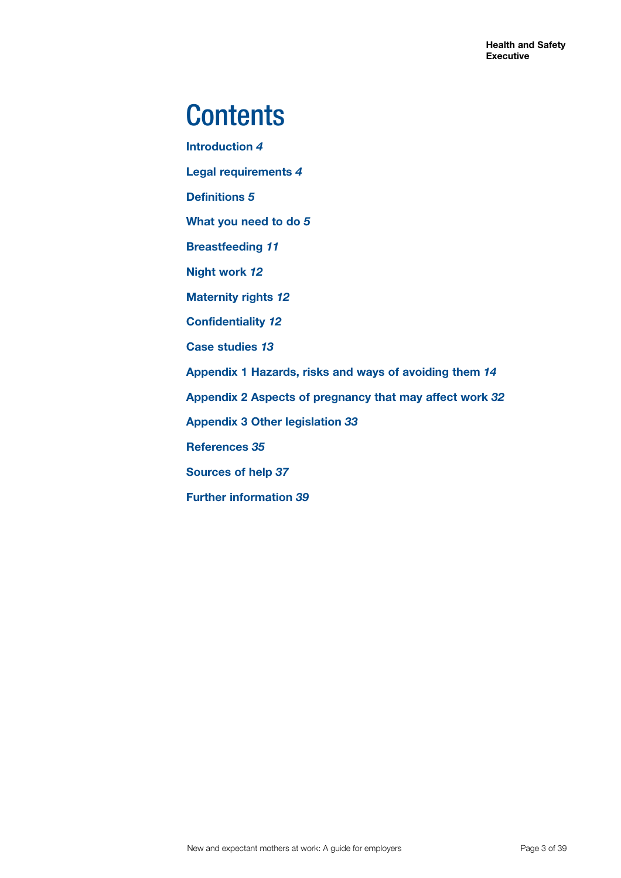## **Contents**

**Introduction** *4* **Legal requirements** *4* **Definitions** *5* **What you need to do** *5* **Breastfeeding** *11* **Night work** *12* **Maternity rights** *12* **Confidentiality** *12* **Case studies** *13* **Appendix 1 Hazards, risks and ways of avoiding them** *14* **Appendix 2 Aspects of pregnancy that may affect work** *32* **Appendix 3 Other legislation** *33* **References** *35* **Sources of help** *37* **Further information** *39*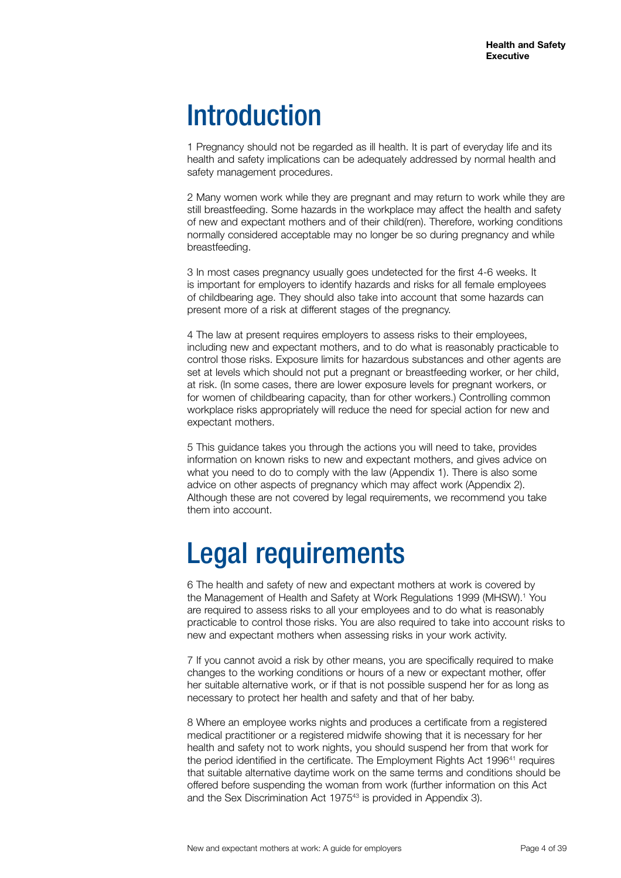### Introduction

1 Pregnancy should not be regarded as ill health. It is part of everyday life and its health and safety implications can be adequately addressed by normal health and safety management procedures.

2 Many women work while they are pregnant and may return to work while they are still breastfeeding. Some hazards in the workplace may affect the health and safety of new and expectant mothers and of their child(ren). Therefore, working conditions normally considered acceptable may no longer be so during pregnancy and while breastfeeding.

3 In most cases pregnancy usually goes undetected for the first 4-6 weeks. It is important for employers to identify hazards and risks for all female employees of childbearing age. They should also take into account that some hazards can present more of a risk at different stages of the pregnancy.

4 The law at present requires employers to assess risks to their employees, including new and expectant mothers, and to do what is reasonably practicable to control those risks. Exposure limits for hazardous substances and other agents are set at levels which should not put a pregnant or breastfeeding worker, or her child, at risk. (In some cases, there are lower exposure levels for pregnant workers, or for women of childbearing capacity, than for other workers.) Controlling common workplace risks appropriately will reduce the need for special action for new and expectant mothers.

5 This guidance takes you through the actions you will need to take, provides information on known risks to new and expectant mothers, and gives advice on what you need to do to comply with the law (Appendix 1). There is also some advice on other aspects of pregnancy which may affect work (Appendix 2). Although these are not covered by legal requirements, we recommend you take them into account.

## Legal requirements

6 The health and safety of new and expectant mothers at work is covered by the Management of Health and Safety at Work Regulations 1999 (MHSW).<sup>1</sup> You are required to assess risks to all your employees and to do what is reasonably practicable to control those risks. You are also required to take into account risks to new and expectant mothers when assessing risks in your work activity.

7 If you cannot avoid a risk by other means, you are specifically required to make changes to the working conditions or hours of a new or expectant mother, offer her suitable alternative work, or if that is not possible suspend her for as long as necessary to protect her health and safety and that of her baby.

8 Where an employee works nights and produces a certificate from a registered medical practitioner or a registered midwife showing that it is necessary for her health and safety not to work nights, you should suspend her from that work for the period identified in the certificate. The Employment Rights Act 1996<sup>41</sup> requires that suitable alternative daytime work on the same terms and conditions should be offered before suspending the woman from work (further information on this Act and the Sex Discrimination Act 197543 is provided in Appendix 3).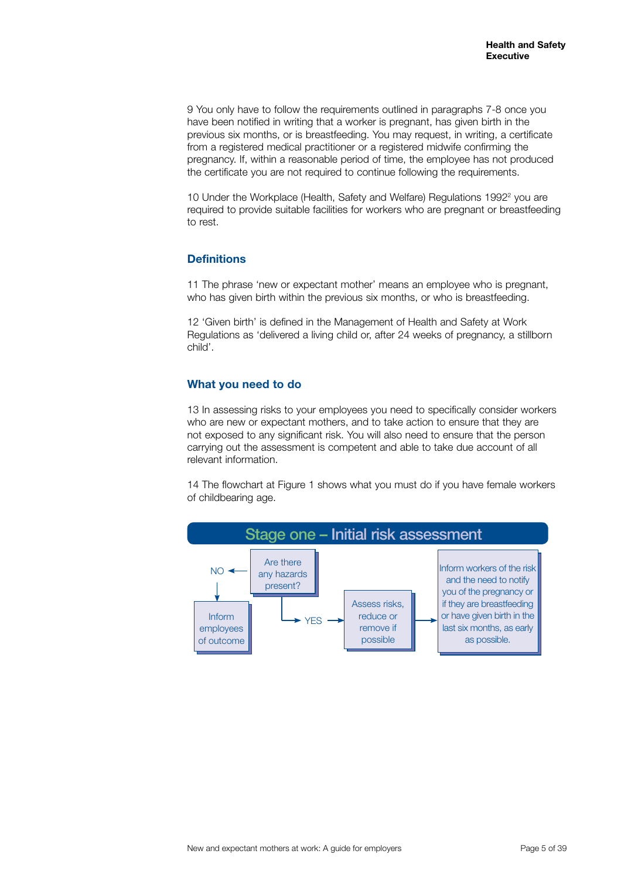9 You only have to follow the requirements outlined in paragraphs 7-8 once you have been notified in writing that a worker is pregnant, has given birth in the previous six months, or is breastfeeding. You may request, in writing, a certificate from a registered medical practitioner or a registered midwife confirming the pregnancy. If, within a reasonable period of time, the employee has not produced the certificate you are not required to continue following the requirements.

10 Under the Workplace (Health, Safety and Welfare) Regulations 1992<sup>2</sup> you are required to provide suitable facilities for workers who are pregnant or breastfeeding to rest.

#### **Definitions**

11 The phrase 'new or expectant mother' means an employee who is pregnant, who has given birth within the previous six months, or who is breastfeeding.

12 'Given birth' is defined in the Management of Health and Safety at Work Regulations as 'delivered a living child or, after 24 weeks of pregnancy, a stillborn child'.

#### **What you need to do**

13 In assessing risks to your employees you need to specifically consider workers who are new or expectant mothers, and to take action to ensure that they are not exposed to any significant risk. You will also need to ensure that the person carrying out the assessment is competent and able to take due account of all relevant information.

14 The flowchart at Figure 1 shows what you must do if you have female workers of childbearing age.

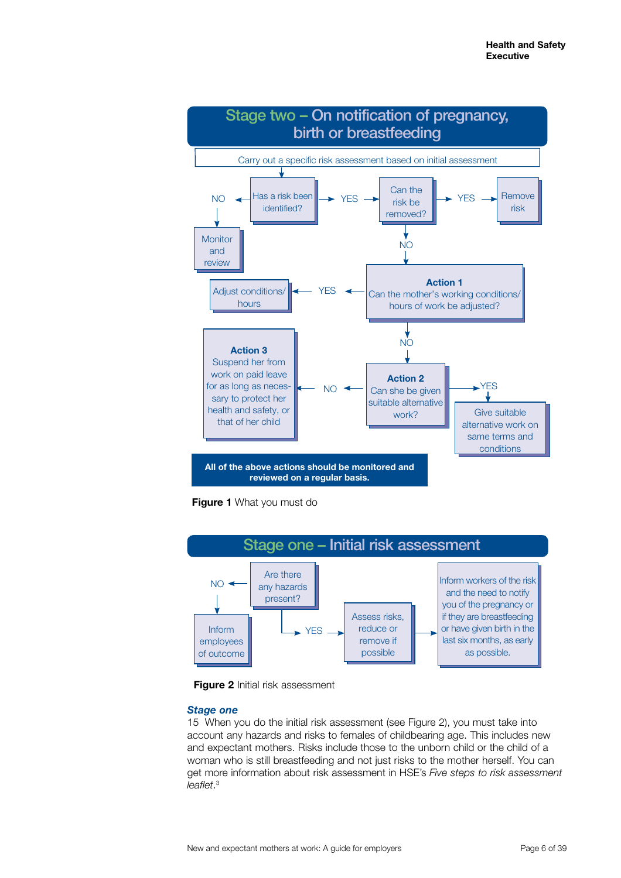

**Figure 1** What you must do





#### *Stage one*

15 When you do the initial risk assessment (see Figure 2), you must take into account any hazards and risks to females of childbearing age. This includes new and expectant mothers. Risks include those to the unborn child or the child of a woman who is still breastfeeding and not just risks to the mother herself. You can get more information about risk assessment in HSE's *Five steps to risk assessment* <sup>3</sup> *leaflet*.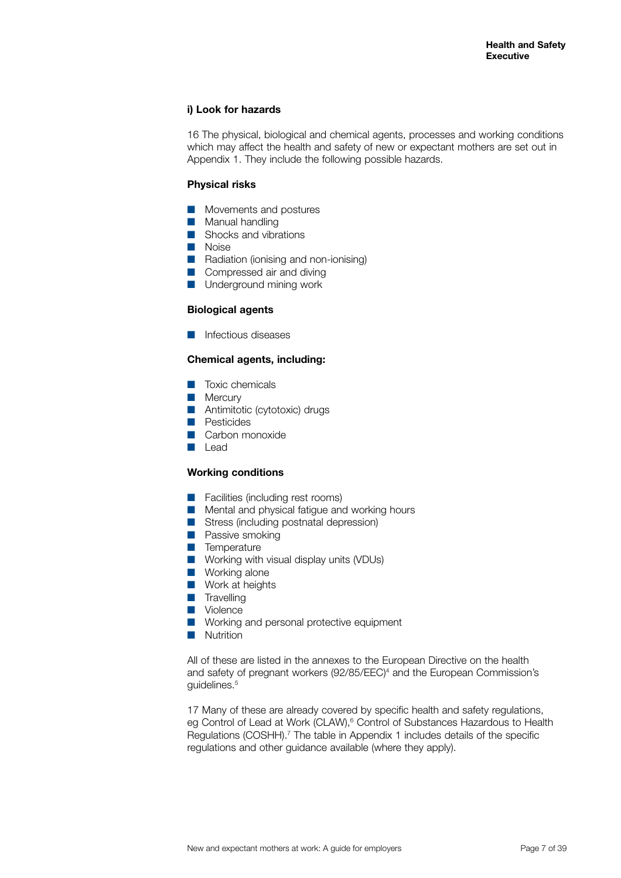#### **i) Look for hazards**

16 The physical, biological and chemical agents, processes and working conditions which may affect the health and safety of new or expectant mothers are set out in Appendix 1. They include the following possible hazards.

#### **Physical risks**

- Movements and postures
- Manual handling
- $\blacksquare$  Shocks and vibrations
- **Noise**
- **Q Radiation (ionising and non-ionising)**
- Compressed air and diving
- **Q** Underground mining work

#### **Biological agents**

 $\blacksquare$  Infectious diseases

#### **Chemical agents, including:**

- Toxic chemicals
- $\blacksquare$  Mercury
- **Antimitotic (cytotoxic) drugs**
- **D** Pesticides
- $\Box$  Carbon monoxide
- **Lead**

#### **Working conditions**

- **E** Facilities (including rest rooms)
- $\blacksquare$  Mental and physical fatigue and working hours
- Stress (including postnatal depression)
- **D** Passive smoking
- $\blacksquare$  Temperature
- $\blacksquare$  Working with visual display units (VDUs)
- $\blacksquare$  Working alone
- $\blacksquare$  Work at heights
- $\blacksquare$  Travelling
- **N** Violence
- **Q Working and personal protective equipment**
- **Nutrition**

All of these are listed in the annexes to the European Directive on the health and safety of pregnant workers (92/85/EEC)4 and the European Commission's guidelines.<sup>5</sup>

17 Many of these are already covered by specific health and safety regulations, eg Control of Lead at Work (CLAW),<sup>6</sup> Control of Substances Hazardous to Health Regulations (COSHH).<sup>7</sup> The table in Appendix 1 includes details of the specific regulations and other guidance available (where they apply).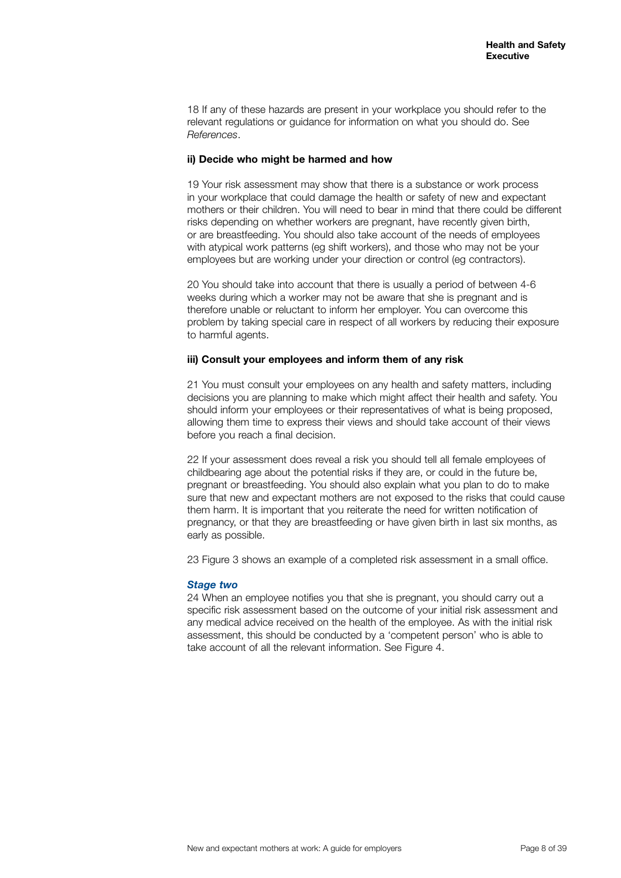18 If any of these hazards are present in your workplace you should refer to the relevant regulations or guidance for information on what you should do. See *References*.

#### **ii) Decide who might be harmed and how**

19 Your risk assessment may show that there is a substance or work process in your workplace that could damage the health or safety of new and expectant mothers or their children. You will need to bear in mind that there could be different risks depending on whether workers are pregnant, have recently given birth, or are breastfeeding. You should also take account of the needs of employees with atypical work patterns (eg shift workers), and those who may not be your employees but are working under your direction or control (eg contractors).

20 You should take into account that there is usually a period of between 4-6 weeks during which a worker may not be aware that she is pregnant and is therefore unable or reluctant to inform her employer. You can overcome this problem by taking special care in respect of all workers by reducing their exposure to harmful agents.

#### **iii) Consult your employees and inform them of any risk**

21 You must consult your employees on any health and safety matters, including decisions you are planning to make which might affect their health and safety. You should inform your employees or their representatives of what is being proposed, allowing them time to express their views and should take account of their views before you reach a final decision.

22 If your assessment does reveal a risk you should tell all female employees of childbearing age about the potential risks if they are, or could in the future be, pregnant or breastfeeding. You should also explain what you plan to do to make sure that new and expectant mothers are not exposed to the risks that could cause them harm. It is important that you reiterate the need for written notification of pregnancy, or that they are breastfeeding or have given birth in last six months, as early as possible.

23 Figure 3 shows an example of a completed risk assessment in a small office.

#### *Stage two*

24 When an employee notifies you that she is pregnant, you should carry out a specific risk assessment based on the outcome of your initial risk assessment and any medical advice received on the health of the employee. As with the initial risk assessment, this should be conducted by a 'competent person' who is able to take account of all the relevant information. See Figure 4.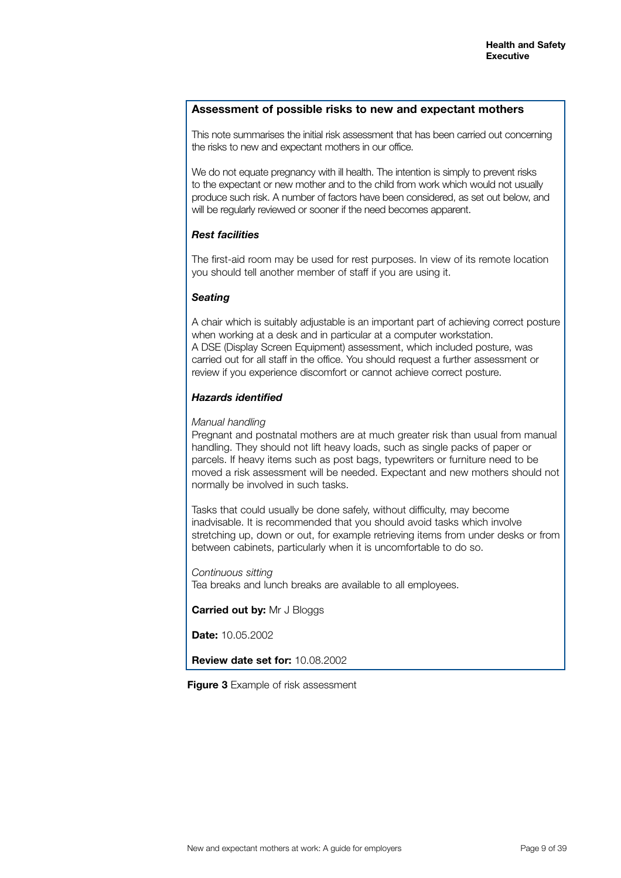#### **Assessment of possible risks to new and expectant mothers**

This note summarises the initial risk assessment that has been carried out concerning the risks to new and expectant mothers in our office.

We do not equate pregnancy with ill health. The intention is simply to prevent risks to the expectant or new mother and to the child from work which would not usually produce such risk. A number of factors have been considered, as set out below, and will be regularly reviewed or sooner if the need becomes apparent.

#### *Rest facilities*

The first-aid room may be used for rest purposes. In view of its remote location you should tell another member of staff if you are using it.

#### *Seating*

A chair which is suitably adjustable is an important part of achieving correct posture when working at a desk and in particular at a computer workstation. A DSE (Display Screen Equipment) assessment, which included posture, was carried out for all staff in the office. You should request a further assessment or review if you experience discomfort or cannot achieve correct posture.

#### *Hazards identified*

#### *Manual handling*

Pregnant and postnatal mothers are at much greater risk than usual from manual handling. They should not lift heavy loads, such as single packs of paper or parcels. If heavy items such as post bags, typewriters or furniture need to be moved a risk assessment will be needed. Expectant and new mothers should not normally be involved in such tasks.

Tasks that could usually be done safely, without difficulty, may become inadvisable. It is recommended that you should avoid tasks which involve stretching up, down or out, for example retrieving items from under desks or from between cabinets, particularly when it is uncomfortable to do so.

*Continuous sitting*  Tea breaks and lunch breaks are available to all employees.

**Carried out by:** Mr J Bloggs

**Date:** 10.05.2002

**Review date set for:** 10.08.2002

**Figure 3** Example of risk assessment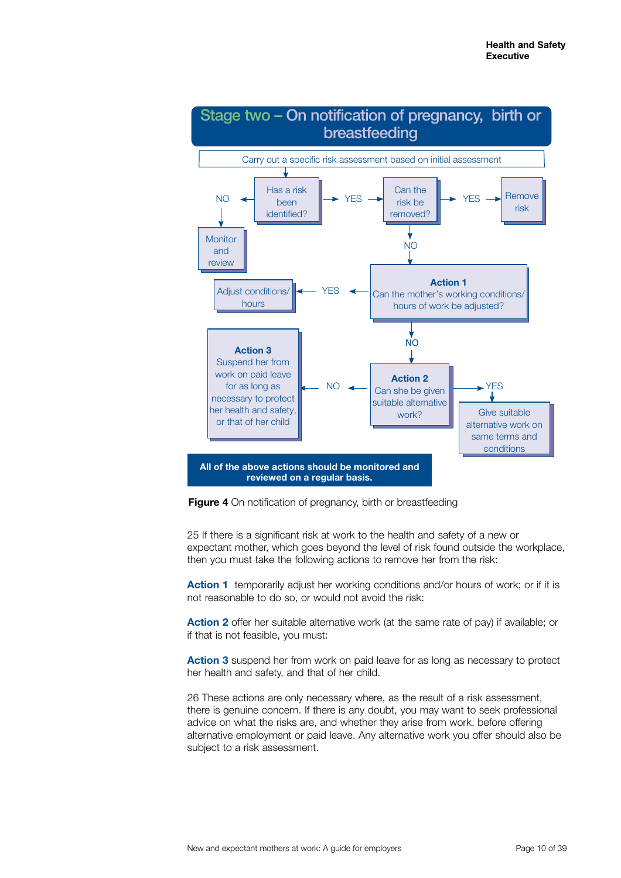

**Figure 4** On notification of pregnancy, birth or breastfeeding

25 If there is a significant risk at work to the health and safety of a new or expectant mother, which goes beyond the level of risk found outside the workplace, then you must take the following actions to remove her from the risk:

**Action 1** temporarily adjust her working conditions and/or hours of work; or if it is not reasonable to do so, or would not avoid the risk:

**Action 2** offer her suitable alternative work (at the same rate of pay) if available; or if that is not feasible, you must:

**Action 3** suspend her from work on paid leave for as long as necessary to protect her health and safety, and that of her child.

26 These actions are only necessary where, as the result of a risk assessment, there is genuine concern. If there is any doubt, you may want to seek professional advice on what the risks are, and whether they arise from work, before offering alternative employment or paid leave. Any alternative work you offer should also be subject to a risk assessment.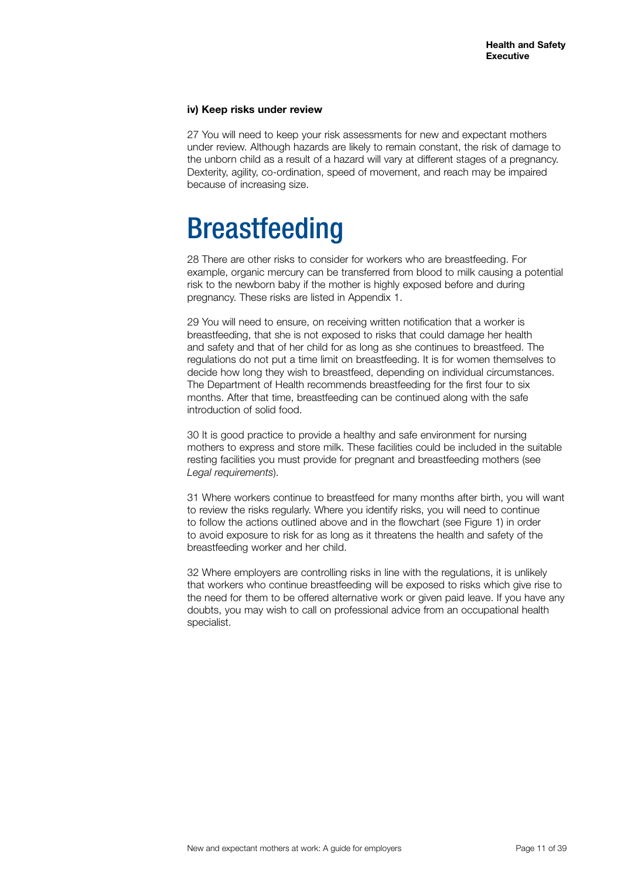#### **iv) Keep risks under review**

27 You will need to keep your risk assessments for new and expectant mothers under review. Although hazards are likely to remain constant, the risk of damage to the unborn child as a result of a hazard will vary at different stages of a pregnancy. Dexterity, agility, co-ordination, speed of movement, and reach may be impaired because of increasing size.

### Breastfeeding

28 There are other risks to consider for workers who are breastfeeding. For example, organic mercury can be transferred from blood to milk causing a potential risk to the newborn baby if the mother is highly exposed before and during pregnancy. These risks are listed in Appendix 1.

29 You will need to ensure, on receiving written notification that a worker is breastfeeding, that she is not exposed to risks that could damage her health and safety and that of her child for as long as she continues to breastfeed. The regulations do not put a time limit on breastfeeding. It is for women themselves to decide how long they wish to breastfeed, depending on individual circumstances. The Department of Health recommends breastfeeding for the first four to six months. After that time, breastfeeding can be continued along with the safe introduction of solid food.

30 It is good practice to provide a healthy and safe environment for nursing mothers to express and store milk. These facilities could be included in the suitable resting facilities you must provide for pregnant and breastfeeding mothers (see *Legal requirements*).

31 Where workers continue to breastfeed for many months after birth, you will want to review the risks regularly. Where you identify risks, you will need to continue to follow the actions outlined above and in the flowchart (see Figure 1) in order to avoid exposure to risk for as long as it threatens the health and safety of the breastfeeding worker and her child.

32 Where employers are controlling risks in line with the regulations, it is unlikely that workers who continue breastfeeding will be exposed to risks which give rise to the need for them to be offered alternative work or given paid leave. If you have any doubts, you may wish to call on professional advice from an occupational health specialist.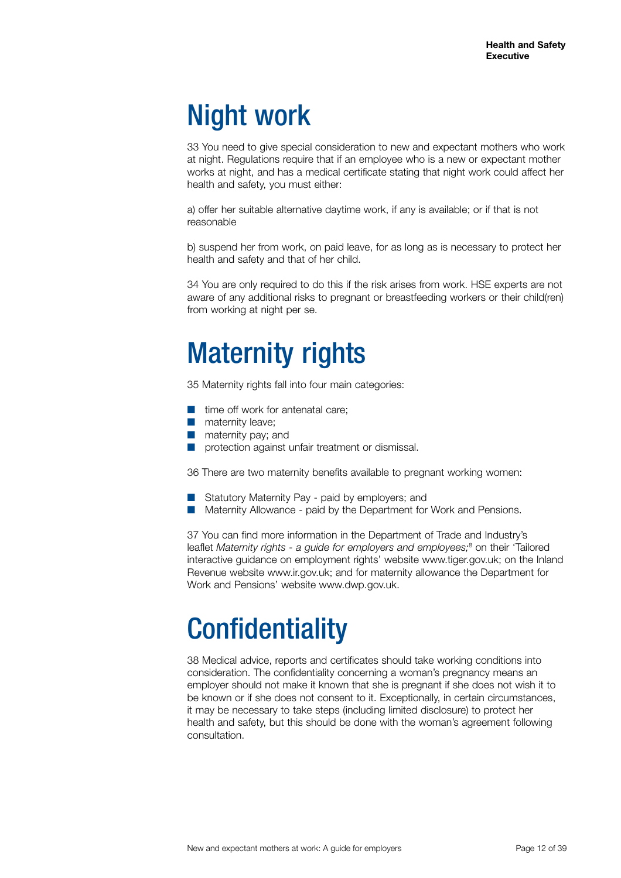## Night work

33 You need to give special consideration to new and expectant mothers who work at night. Regulations require that if an employee who is a new or expectant mother works at night, and has a medical certificate stating that night work could affect her health and safety, you must either:

a) offer her suitable alternative daytime work, if any is available; or if that is not reasonable

b) suspend her from work, on paid leave, for as long as is necessary to protect her health and safety and that of her child.

34 You are only required to do this if the risk arises from work. HSE experts are not aware of any additional risks to pregnant or breastfeeding workers or their child(ren) from working at night per se.

## Maternity rights

35 Maternity rights fall into four main categories:

- $\blacksquare$  time off work for antenatal care:
- $\blacksquare$  maternity leave;
- $\blacksquare$  maternity pay; and
- protection against unfair treatment or dismissal.

36 There are two maternity benefits available to pregnant working women:

- Statutory Maternity Pay paid by employers; and
- **Maternity Allowance paid by the Department for Work and Pensions.**

37 You can find more information in the Department of Trade and Industry's leaflet Maternity rights - a guide for employers and employees;<sup>8</sup> on their 'Tailored interactive guidance on employment rights' website www.tiger.gov.uk; on the Inland Revenue website www.ir.gov.uk; and for maternity allowance the Department for Work and Pensions' website www.dwp.gov.uk.

### **Confidentiality**

38 Medical advice, reports and certificates should take working conditions into consideration. The confidentiality concerning a woman's pregnancy means an employer should not make it known that she is pregnant if she does not wish it to be known or if she does not consent to it. Exceptionally, in certain circumstances, it may be necessary to take steps (including limited disclosure) to protect her health and safety, but this should be done with the woman's agreement following consultation.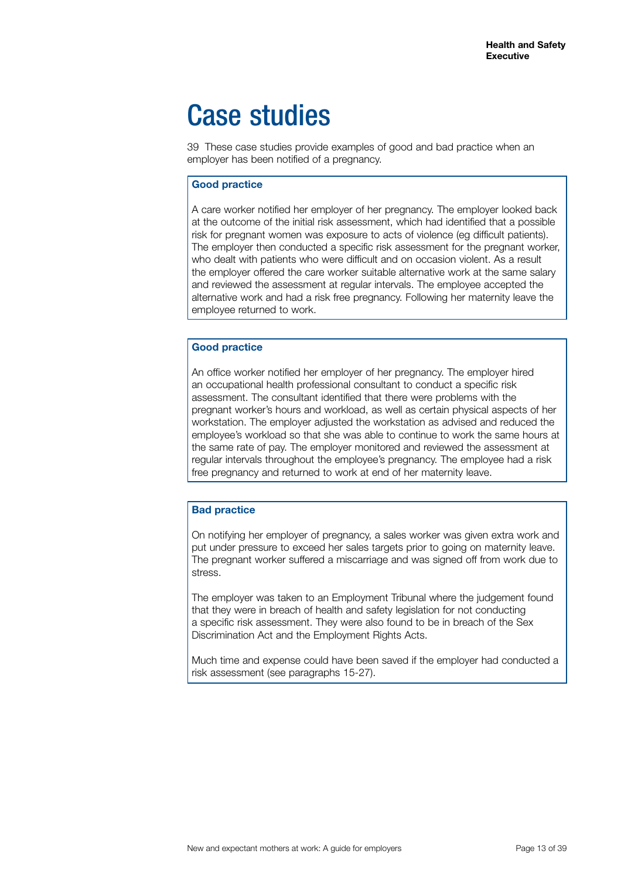### Case studies

39 These case studies provide examples of good and bad practice when an employer has been notified of a pregnancy.

#### **Good practice**

A care worker notified her employer of her pregnancy. The employer looked back at the outcome of the initial risk assessment, which had identified that a possible risk for pregnant women was exposure to acts of violence (eg difficult patients). The employer then conducted a specific risk assessment for the pregnant worker, who dealt with patients who were difficult and on occasion violent. As a result the employer offered the care worker suitable alternative work at the same salary and reviewed the assessment at regular intervals. The employee accepted the alternative work and had a risk free pregnancy. Following her maternity leave the employee returned to work.

#### **Good practice**

An office worker notified her employer of her pregnancy. The employer hired an occupational health professional consultant to conduct a specific risk assessment. The consultant identified that there were problems with the pregnant worker's hours and workload, as well as certain physical aspects of her workstation. The employer adjusted the workstation as advised and reduced the employee's workload so that she was able to continue to work the same hours at the same rate of pay. The employer monitored and reviewed the assessment at regular intervals throughout the employee's pregnancy. The employee had a risk free pregnancy and returned to work at end of her maternity leave.

#### **Bad practice**

On notifying her employer of pregnancy, a sales worker was given extra work and put under pressure to exceed her sales targets prior to going on maternity leave. The pregnant worker suffered a miscarriage and was signed off from work due to stress.

The employer was taken to an Employment Tribunal where the judgement found that they were in breach of health and safety legislation for not conducting a specific risk assessment. They were also found to be in breach of the Sex Discrimination Act and the Employment Rights Acts.

Much time and expense could have been saved if the employer had conducted a risk assessment (see paragraphs 15-27).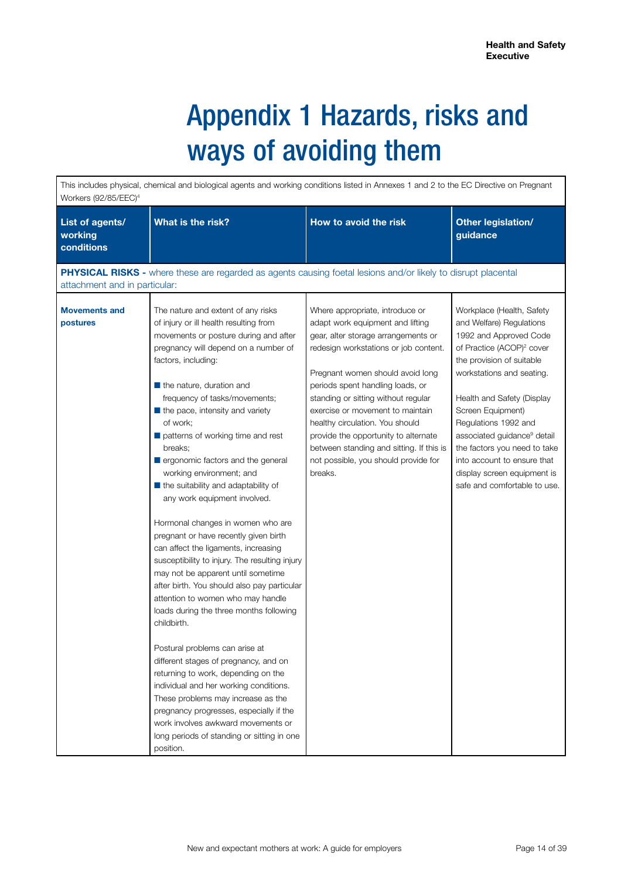## Appendix 1 Hazards, risks and ways of avoiding them

This includes physical, chemical and biological agents and working conditions listed in Annexes 1 and 2 to the EC Directive on Pregnant Workers (92/85/EEC)4 **List of agents/ working conditions**  What is the risk? **How to avoid the risk Other legislation**/ **guidance PHYSICAL RISKS -** where these are regarded as agents causing foetal lesions and/or likely to disrupt placental attachment and in particular: **Movements and postures**  The nature and extent of any risks of injury or ill health resulting from movements or posture during and after pregnancy will depend on a number of factors, including:  $\blacksquare$  the nature, duration and frequency of tasks/movements;  $\blacksquare$  the pace, intensity and variety of work;  $\blacksquare$  patterns of working time and rest breaks; **Q** ergonomic factors and the general working environment; and  $\blacksquare$  the suitability and adaptability of any work equipment involved. Hormonal changes in women who are pregnant or have recently given birth can affect the ligaments, increasing susceptibility to injury. The resulting injury may not be apparent until sometime after birth. You should also pay particular attention to women who may handle loads during the three months following childbirth. Postural problems can arise at different stages of pregnancy, and on returning to work, depending on the individual and her working conditions. These problems may increase as the pregnancy progresses, especially if the work involves awkward movements or long periods of standing or sitting in one position. Where appropriate, introduce or adapt work equipment and lifting gear, alter storage arrangements or redesign workstations or job content. Pregnant women should avoid long periods spent handling loads, or standing or sitting without regular exercise or movement to maintain healthy circulation. You should provide the opportunity to alternate between standing and sitting. If this is not possible, you should provide for breaks. Workplace (Health, Safety and Welfare) Regulations 1992 and Approved Code of Practice (ACOP)<sup>2</sup> cover the provision of suitable workstations and seating. Health and Safety (Display Screen Equipment) Regulations 1992 and associated guidance<sup>9</sup> detail the factors you need to take into account to ensure that display screen equipment is safe and comfortable to use.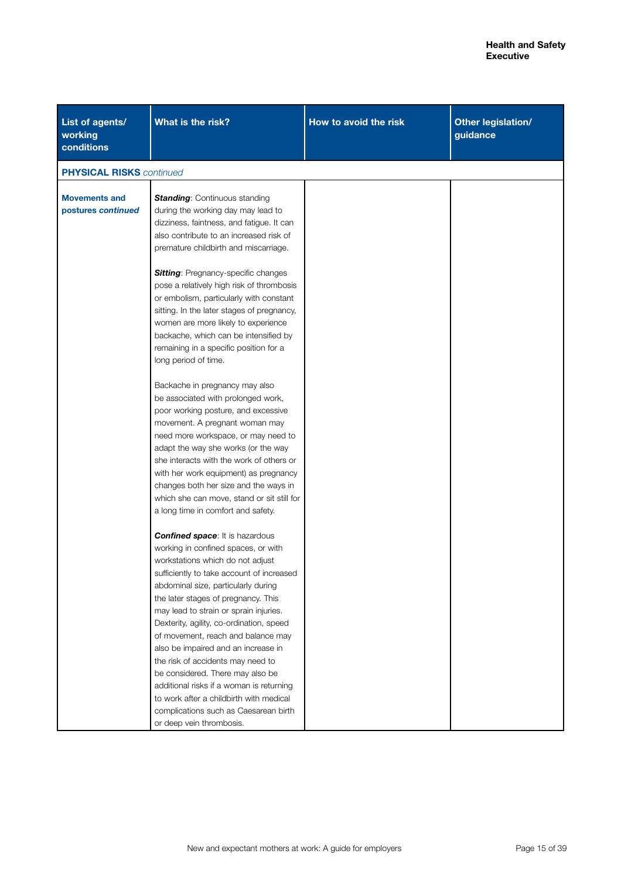| List of agents/<br>working<br>conditions   | What is the risk?                                                                                                                                                                                                                                                                                                                                                                                                                                                                                                                                                                                                                                    | How to avoid the risk | Other legislation/<br>guidance |
|--------------------------------------------|------------------------------------------------------------------------------------------------------------------------------------------------------------------------------------------------------------------------------------------------------------------------------------------------------------------------------------------------------------------------------------------------------------------------------------------------------------------------------------------------------------------------------------------------------------------------------------------------------------------------------------------------------|-----------------------|--------------------------------|
| <b>PHYSICAL RISKS</b> continued            |                                                                                                                                                                                                                                                                                                                                                                                                                                                                                                                                                                                                                                                      |                       |                                |
| <b>Movements and</b><br>postures continued | <b>Standing: Continuous standing</b><br>during the working day may lead to                                                                                                                                                                                                                                                                                                                                                                                                                                                                                                                                                                           |                       |                                |
|                                            | dizziness, faintness, and fatigue. It can<br>also contribute to an increased risk of<br>premature childbirth and miscarriage.                                                                                                                                                                                                                                                                                                                                                                                                                                                                                                                        |                       |                                |
|                                            | <b>Sitting:</b> Pregnancy-specific changes<br>pose a relatively high risk of thrombosis<br>or embolism, particularly with constant<br>sitting. In the later stages of pregnancy,<br>women are more likely to experience<br>backache, which can be intensified by<br>remaining in a specific position for a<br>long period of time.                                                                                                                                                                                                                                                                                                                   |                       |                                |
|                                            | Backache in pregnancy may also<br>be associated with prolonged work,<br>poor working posture, and excessive<br>movement. A pregnant woman may<br>need more workspace, or may need to<br>adapt the way she works (or the way<br>she interacts with the work of others or                                                                                                                                                                                                                                                                                                                                                                              |                       |                                |
|                                            | with her work equipment) as pregnancy<br>changes both her size and the ways in<br>which she can move, stand or sit still for<br>a long time in comfort and safety.                                                                                                                                                                                                                                                                                                                                                                                                                                                                                   |                       |                                |
|                                            | <b>Confined space:</b> It is hazardous<br>working in confined spaces, or with<br>workstations which do not adjust<br>sufficiently to take account of increased<br>abdominal size, particularly during<br>the later stages of pregnancy. This<br>may lead to strain or sprain injuries.<br>Dexterity, agility, co-ordination, speed<br>of movement, reach and balance may<br>also be impaired and an increase in<br>the risk of accidents may need to<br>be considered. There may also be<br>additional risks if a woman is returning<br>to work after a childbirth with medical<br>complications such as Caesarean birth<br>or deep vein thrombosis. |                       |                                |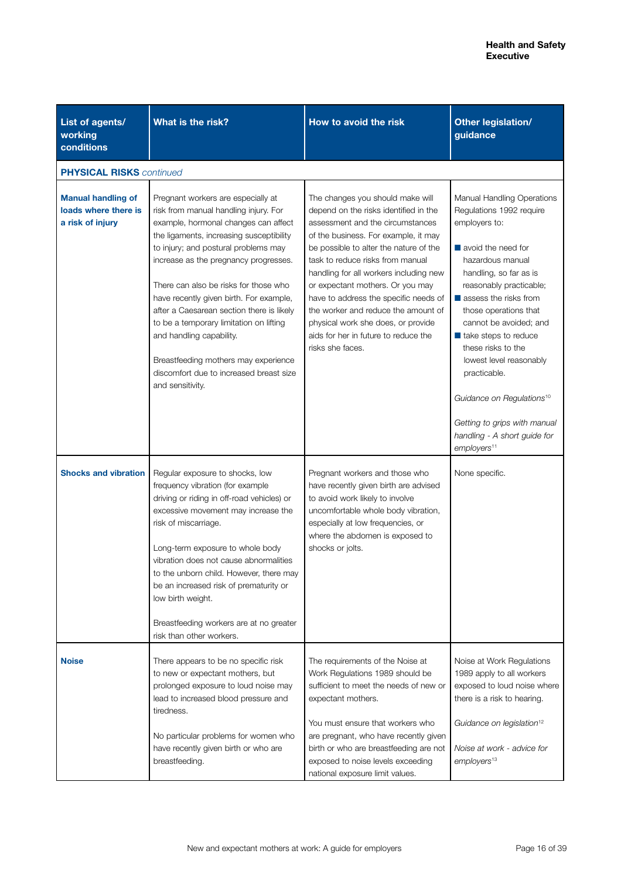| List of agents/<br>working<br>conditions                              | What is the risk?                                                                                                                                                                                                                                                                                                                                                                                                                                                                                                                                               | How to avoid the risk                                                                                                                                                                                                                                                                                                                                                                                                                                                                               | Other legislation/<br>guidance                                                                                                                                                                                                                                                                                                                                                                                                                                                                                |
|-----------------------------------------------------------------------|-----------------------------------------------------------------------------------------------------------------------------------------------------------------------------------------------------------------------------------------------------------------------------------------------------------------------------------------------------------------------------------------------------------------------------------------------------------------------------------------------------------------------------------------------------------------|-----------------------------------------------------------------------------------------------------------------------------------------------------------------------------------------------------------------------------------------------------------------------------------------------------------------------------------------------------------------------------------------------------------------------------------------------------------------------------------------------------|---------------------------------------------------------------------------------------------------------------------------------------------------------------------------------------------------------------------------------------------------------------------------------------------------------------------------------------------------------------------------------------------------------------------------------------------------------------------------------------------------------------|
| <b>PHYSICAL RISKS</b> continued                                       |                                                                                                                                                                                                                                                                                                                                                                                                                                                                                                                                                                 |                                                                                                                                                                                                                                                                                                                                                                                                                                                                                                     |                                                                                                                                                                                                                                                                                                                                                                                                                                                                                                               |
| <b>Manual handling of</b><br>loads where there is<br>a risk of injury | Pregnant workers are especially at<br>risk from manual handling injury. For<br>example, hormonal changes can affect<br>the ligaments, increasing susceptibility<br>to injury; and postural problems may<br>increase as the pregnancy progresses.<br>There can also be risks for those who<br>have recently given birth. For example,<br>after a Caesarean section there is likely<br>to be a temporary limitation on lifting<br>and handling capability.<br>Breastfeeding mothers may experience<br>discomfort due to increased breast size<br>and sensitivity. | The changes you should make will<br>depend on the risks identified in the<br>assessment and the circumstances<br>of the business. For example, it may<br>be possible to alter the nature of the<br>task to reduce risks from manual<br>handling for all workers including new<br>or expectant mothers. Or you may<br>have to address the specific needs of<br>the worker and reduce the amount of<br>physical work she does, or provide<br>aids for her in future to reduce the<br>risks she faces. | Manual Handling Operations<br>Regulations 1992 require<br>employers to:<br>$\blacksquare$ avoid the need for<br>hazardous manual<br>handling, so far as is<br>reasonably practicable;<br>assess the risks from<br>those operations that<br>cannot be avoided; and<br>$\blacksquare$ take steps to reduce<br>these risks to the<br>lowest level reasonably<br>practicable.<br>Guidance on Regulations <sup>10</sup><br>Getting to grips with manual<br>handling - A short guide for<br>employers <sup>11</sup> |
| <b>Shocks and vibration</b>                                           | Regular exposure to shocks, low<br>frequency vibration (for example<br>driving or riding in off-road vehicles) or<br>excessive movement may increase the<br>risk of miscarriage.<br>Long-term exposure to whole body<br>vibration does not cause abnormalities<br>to the unborn child. However, there may<br>be an increased risk of prematurity or<br>low birth weight.<br>Breastfeeding workers are at no greater<br>risk than other workers.                                                                                                                 | Pregnant workers and those who<br>have recently given birth are advised<br>to avoid work likely to involve<br>uncomfortable whole body vibration,<br>especially at low frequencies, or<br>where the abdomen is exposed to<br>shocks or jolts.                                                                                                                                                                                                                                                       | None specific.                                                                                                                                                                                                                                                                                                                                                                                                                                                                                                |
| <b>Noise</b>                                                          | There appears to be no specific risk<br>to new or expectant mothers, but<br>prolonged exposure to loud noise may<br>lead to increased blood pressure and<br>tiredness.<br>No particular problems for women who<br>have recently given birth or who are<br>breastfeeding.                                                                                                                                                                                                                                                                                        | The requirements of the Noise at<br>Work Regulations 1989 should be<br>sufficient to meet the needs of new or<br>expectant mothers.<br>You must ensure that workers who<br>are pregnant, who have recently given<br>birth or who are breastfeeding are not<br>exposed to noise levels exceeding<br>national exposure limit values.                                                                                                                                                                  | Noise at Work Regulations<br>1989 apply to all workers<br>exposed to loud noise where<br>there is a risk to hearing.<br>Guidance on legislation <sup>12</sup><br>Noise at work - advice for<br>employers <sup>13</sup>                                                                                                                                                                                                                                                                                        |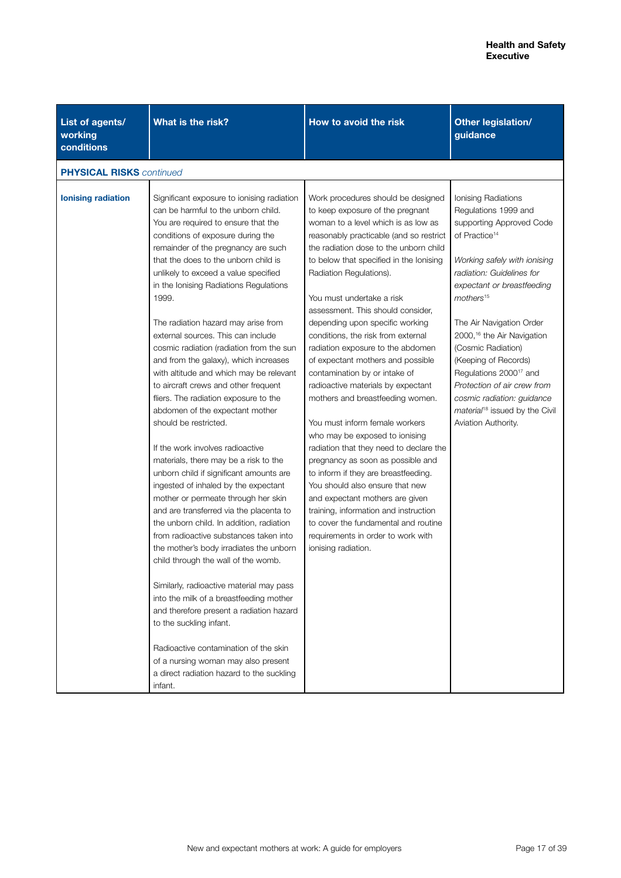| List of agents/<br>working<br>conditions | What is the risk?                                                                                                                                                                                                                                                                                                                                                                                                                                                                                                                                                                                                                                                                                                                                                                                                                                                                                                                                                                                                                                                                                                                                                                                                                                                                                                                                                                                                                 | How to avoid the risk                                                                                                                                                                                                                                                                                                                                                                                                                                                                                                                                                                                                                                                                                                                                                                                                                                                                                                                                                                                                    | Other legislation/<br>guidance                                                                                                                                                                                                                                                                                                                                                                                                                                                                                       |  |  |
|------------------------------------------|-----------------------------------------------------------------------------------------------------------------------------------------------------------------------------------------------------------------------------------------------------------------------------------------------------------------------------------------------------------------------------------------------------------------------------------------------------------------------------------------------------------------------------------------------------------------------------------------------------------------------------------------------------------------------------------------------------------------------------------------------------------------------------------------------------------------------------------------------------------------------------------------------------------------------------------------------------------------------------------------------------------------------------------------------------------------------------------------------------------------------------------------------------------------------------------------------------------------------------------------------------------------------------------------------------------------------------------------------------------------------------------------------------------------------------------|--------------------------------------------------------------------------------------------------------------------------------------------------------------------------------------------------------------------------------------------------------------------------------------------------------------------------------------------------------------------------------------------------------------------------------------------------------------------------------------------------------------------------------------------------------------------------------------------------------------------------------------------------------------------------------------------------------------------------------------------------------------------------------------------------------------------------------------------------------------------------------------------------------------------------------------------------------------------------------------------------------------------------|----------------------------------------------------------------------------------------------------------------------------------------------------------------------------------------------------------------------------------------------------------------------------------------------------------------------------------------------------------------------------------------------------------------------------------------------------------------------------------------------------------------------|--|--|
|                                          | <b>PHYSICAL RISKS</b> continued                                                                                                                                                                                                                                                                                                                                                                                                                                                                                                                                                                                                                                                                                                                                                                                                                                                                                                                                                                                                                                                                                                                                                                                                                                                                                                                                                                                                   |                                                                                                                                                                                                                                                                                                                                                                                                                                                                                                                                                                                                                                                                                                                                                                                                                                                                                                                                                                                                                          |                                                                                                                                                                                                                                                                                                                                                                                                                                                                                                                      |  |  |
| <b>lonising radiation</b>                | Significant exposure to ionising radiation<br>can be harmful to the unborn child.<br>You are required to ensure that the<br>conditions of exposure during the<br>remainder of the pregnancy are such<br>that the does to the unborn child is<br>unlikely to exceed a value specified<br>in the Ionising Radiations Regulations<br>1999.<br>The radiation hazard may arise from<br>external sources. This can include<br>cosmic radiation (radiation from the sun<br>and from the galaxy), which increases<br>with altitude and which may be relevant<br>to aircraft crews and other frequent<br>fliers. The radiation exposure to the<br>abdomen of the expectant mother<br>should be restricted.<br>If the work involves radioactive<br>materials, there may be a risk to the<br>unborn child if significant amounts are<br>ingested of inhaled by the expectant<br>mother or permeate through her skin<br>and are transferred via the placenta to<br>the unborn child. In addition, radiation<br>from radioactive substances taken into<br>the mother's body irradiates the unborn<br>child through the wall of the womb.<br>Similarly, radioactive material may pass<br>into the milk of a breastfeeding mother<br>and therefore present a radiation hazard<br>to the suckling infant.<br>Radioactive contamination of the skin<br>of a nursing woman may also present<br>a direct radiation hazard to the suckling<br>infant. | Work procedures should be designed<br>to keep exposure of the pregnant<br>woman to a level which is as low as<br>reasonably practicable (and so restrict<br>the radiation dose to the unborn child<br>to below that specified in the lonising<br>Radiation Regulations).<br>You must undertake a risk<br>assessment. This should consider,<br>depending upon specific working<br>conditions, the risk from external<br>radiation exposure to the abdomen<br>of expectant mothers and possible<br>contamination by or intake of<br>radioactive materials by expectant<br>mothers and breastfeeding women.<br>You must inform female workers<br>who may be exposed to ionising<br>radiation that they need to declare the<br>pregnancy as soon as possible and<br>to inform if they are breastfeeding.<br>You should also ensure that new<br>and expectant mothers are given<br>training, information and instruction<br>to cover the fundamental and routine<br>requirements in order to work with<br>ionising radiation. | Ionising Radiations<br>Regulations 1999 and<br>supporting Approved Code<br>of Practice <sup>14</sup><br>Working safely with ionising<br>radiation: Guidelines for<br>expectant or breastfeeding<br>mothers <sup>15</sup><br>The Air Navigation Order<br>2000, <sup>16</sup> the Air Navigation<br>(Cosmic Radiation)<br>(Keeping of Records)<br>Regulations 2000 <sup>17</sup> and<br>Protection of air crew from<br>cosmic radiation: guidance<br>material <sup>18</sup> issued by the Civil<br>Aviation Authority. |  |  |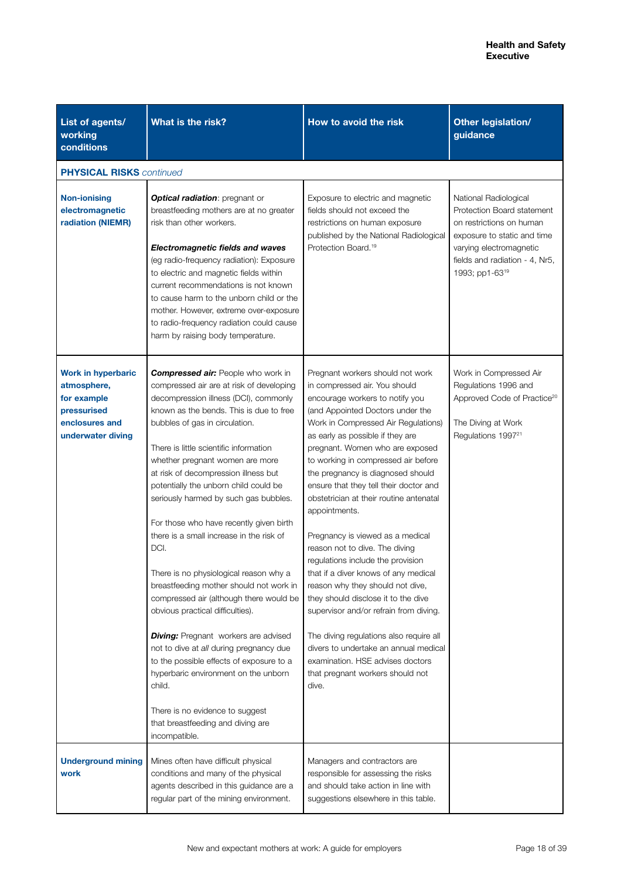| List of agents/<br>working<br>conditions                                                                      | What is the risk?                                                                                                                                                                                                                                                                                                                                                                                                                                                                                                                                                                                                                                                                                                                                                                                                                                                                                                                                                      | How to avoid the risk                                                                                                                                                                                                                                                                                                                                                                                                                                                                                                                                                                                                                                                                                                                                                                                                                                                                 | Other legislation/<br>guidance                                                                                                                                                                |
|---------------------------------------------------------------------------------------------------------------|------------------------------------------------------------------------------------------------------------------------------------------------------------------------------------------------------------------------------------------------------------------------------------------------------------------------------------------------------------------------------------------------------------------------------------------------------------------------------------------------------------------------------------------------------------------------------------------------------------------------------------------------------------------------------------------------------------------------------------------------------------------------------------------------------------------------------------------------------------------------------------------------------------------------------------------------------------------------|---------------------------------------------------------------------------------------------------------------------------------------------------------------------------------------------------------------------------------------------------------------------------------------------------------------------------------------------------------------------------------------------------------------------------------------------------------------------------------------------------------------------------------------------------------------------------------------------------------------------------------------------------------------------------------------------------------------------------------------------------------------------------------------------------------------------------------------------------------------------------------------|-----------------------------------------------------------------------------------------------------------------------------------------------------------------------------------------------|
| <b>PHYSICAL RISKS</b> continued                                                                               |                                                                                                                                                                                                                                                                                                                                                                                                                                                                                                                                                                                                                                                                                                                                                                                                                                                                                                                                                                        |                                                                                                                                                                                                                                                                                                                                                                                                                                                                                                                                                                                                                                                                                                                                                                                                                                                                                       |                                                                                                                                                                                               |
| <b>Non-ionising</b><br>electromagnetic<br>radiation (NIEMR)                                                   | <b>Optical radiation:</b> pregnant or<br>breastfeeding mothers are at no greater<br>risk than other workers.<br><b>Electromagnetic fields and waves</b><br>(eg radio-frequency radiation): Exposure<br>to electric and magnetic fields within<br>current recommendations is not known<br>to cause harm to the unborn child or the<br>mother. However, extreme over-exposure<br>to radio-frequency radiation could cause<br>harm by raising body temperature.                                                                                                                                                                                                                                                                                                                                                                                                                                                                                                           | Exposure to electric and magnetic<br>fields should not exceed the<br>restrictions on human exposure<br>published by the National Radiological<br>Protection Board. <sup>19</sup>                                                                                                                                                                                                                                                                                                                                                                                                                                                                                                                                                                                                                                                                                                      | National Radiological<br>Protection Board statement<br>on restrictions on human<br>exposure to static and time<br>varying electromagnetic<br>fields and radiation - 4, Nr5,<br>1993; pp1-6319 |
| <b>Work in hyperbaric</b><br>atmosphere,<br>for example<br>pressurised<br>enclosures and<br>underwater diving | <b>Compressed air:</b> People who work in<br>compressed air are at risk of developing<br>decompression illness (DCI), commonly<br>known as the bends. This is due to free<br>bubbles of gas in circulation.<br>There is little scientific information<br>whether pregnant women are more<br>at risk of decompression illness but<br>potentially the unborn child could be<br>seriously harmed by such gas bubbles.<br>For those who have recently given birth<br>there is a small increase in the risk of<br>DCI.<br>There is no physiological reason why a<br>breastfeeding mother should not work in<br>compressed air (although there would be<br>obvious practical difficulties).<br><b>Diving:</b> Pregnant workers are advised<br>not to dive at all during pregnancy due<br>to the possible effects of exposure to a<br>hyperbaric environment on the unborn<br>child.<br>There is no evidence to suggest<br>that breastfeeding and diving are<br>incompatible. | Pregnant workers should not work<br>in compressed air. You should<br>encourage workers to notify you<br>(and Appointed Doctors under the<br>Work in Compressed Air Regulations)<br>as early as possible if they are<br>pregnant. Women who are exposed<br>to working in compressed air before<br>the pregnancy is diagnosed should<br>ensure that they tell their doctor and<br>obstetrician at their routine antenatal<br>appointments.<br>Pregnancy is viewed as a medical<br>reason not to dive. The diving<br>regulations include the provision<br>that if a diver knows of any medical<br>reason why they should not dive,<br>they should disclose it to the dive<br>supervisor and/or refrain from diving.<br>The diving regulations also require all<br>divers to undertake an annual medical<br>examination. HSE advises doctors<br>that pregnant workers should not<br>dive. | Work in Compressed Air<br>Regulations 1996 and<br>Approved Code of Practice <sup>20</sup><br>The Diving at Work<br>Regulations 1997 <sup>21</sup>                                             |
| <b>Underground mining</b><br>work                                                                             | Mines often have difficult physical<br>conditions and many of the physical<br>agents described in this guidance are a<br>regular part of the mining environment.                                                                                                                                                                                                                                                                                                                                                                                                                                                                                                                                                                                                                                                                                                                                                                                                       | Managers and contractors are<br>responsible for assessing the risks<br>and should take action in line with<br>suggestions elsewhere in this table.                                                                                                                                                                                                                                                                                                                                                                                                                                                                                                                                                                                                                                                                                                                                    |                                                                                                                                                                                               |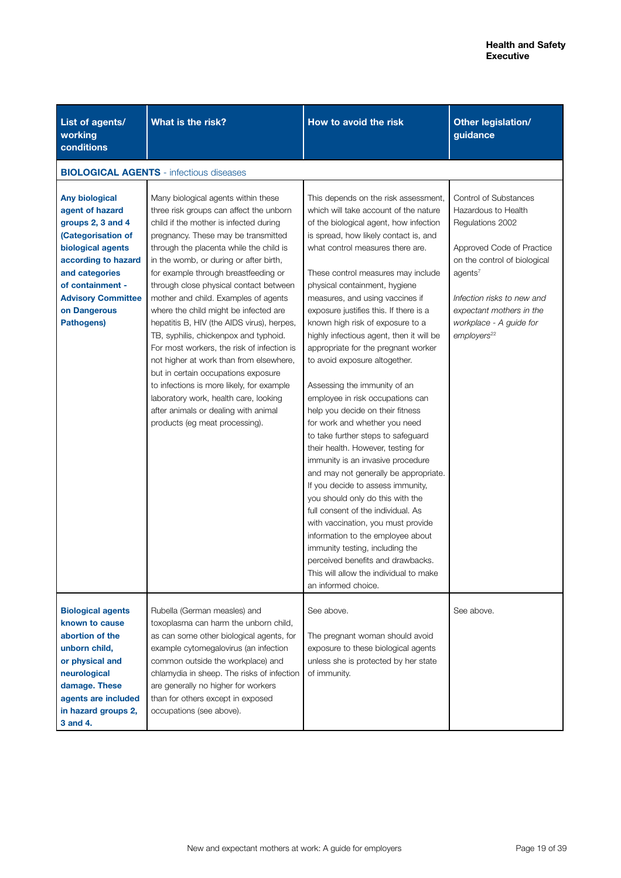| List of agents/<br>working<br>conditions                                                                                                                                                                                         | What is the risk?                                                                                                                                                                                                                                                                                                                                                                                                                                                                                                                                                                                                                                                                                                                                                                                              | How to avoid the risk                                                                                                                                                                                                                                                                                                                                                                                                                                                                                                                                                                                                                                                                                                                                                                                                                                                                                                                                                                                                                                                                                                                                  | Other legislation/<br>guidance                                                                                                                                                                                                                                       |
|----------------------------------------------------------------------------------------------------------------------------------------------------------------------------------------------------------------------------------|----------------------------------------------------------------------------------------------------------------------------------------------------------------------------------------------------------------------------------------------------------------------------------------------------------------------------------------------------------------------------------------------------------------------------------------------------------------------------------------------------------------------------------------------------------------------------------------------------------------------------------------------------------------------------------------------------------------------------------------------------------------------------------------------------------------|--------------------------------------------------------------------------------------------------------------------------------------------------------------------------------------------------------------------------------------------------------------------------------------------------------------------------------------------------------------------------------------------------------------------------------------------------------------------------------------------------------------------------------------------------------------------------------------------------------------------------------------------------------------------------------------------------------------------------------------------------------------------------------------------------------------------------------------------------------------------------------------------------------------------------------------------------------------------------------------------------------------------------------------------------------------------------------------------------------------------------------------------------------|----------------------------------------------------------------------------------------------------------------------------------------------------------------------------------------------------------------------------------------------------------------------|
|                                                                                                                                                                                                                                  | <b>BIOLOGICAL AGENTS</b> - infectious diseases                                                                                                                                                                                                                                                                                                                                                                                                                                                                                                                                                                                                                                                                                                                                                                 |                                                                                                                                                                                                                                                                                                                                                                                                                                                                                                                                                                                                                                                                                                                                                                                                                                                                                                                                                                                                                                                                                                                                                        |                                                                                                                                                                                                                                                                      |
| <b>Any biological</b><br>agent of hazard<br>groups 2, 3 and 4<br>(Categorisation of<br>biological agents<br>according to hazard<br>and categories<br>of containment -<br><b>Advisory Committee</b><br>on Dangerous<br>Pathogens) | Many biological agents within these<br>three risk groups can affect the unborn<br>child if the mother is infected during<br>pregnancy. These may be transmitted<br>through the placenta while the child is<br>in the womb, or during or after birth,<br>for example through breastfeeding or<br>through close physical contact between<br>mother and child. Examples of agents<br>where the child might be infected are<br>hepatitis B, HIV (the AIDS virus), herpes,<br>TB, syphilis, chickenpox and typhoid.<br>For most workers, the risk of infection is<br>not higher at work than from elsewhere,<br>but in certain occupations exposure<br>to infections is more likely, for example<br>laboratory work, health care, looking<br>after animals or dealing with animal<br>products (eg meat processing). | This depends on the risk assessment,<br>which will take account of the nature<br>of the biological agent, how infection<br>is spread, how likely contact is, and<br>what control measures there are.<br>These control measures may include<br>physical containment, hygiene<br>measures, and using vaccines if<br>exposure justifies this. If there is a<br>known high risk of exposure to a<br>highly infectious agent, then it will be<br>appropriate for the pregnant worker<br>to avoid exposure altogether.<br>Assessing the immunity of an<br>employee in risk occupations can<br>help you decide on their fitness<br>for work and whether you need<br>to take further steps to safeguard<br>their health. However, testing for<br>immunity is an invasive procedure<br>and may not generally be appropriate.<br>If you decide to assess immunity,<br>you should only do this with the<br>full consent of the individual. As<br>with vaccination, you must provide<br>information to the employee about<br>immunity testing, including the<br>perceived benefits and drawbacks.<br>This will allow the individual to make<br>an informed choice. | Control of Substances<br>Hazardous to Health<br>Regulations 2002<br>Approved Code of Practice<br>on the control of biological<br>agents <sup>7</sup><br>Infection risks to new and<br>expectant mothers in the<br>workplace - A guide for<br>employers <sup>22</sup> |
| <b>Biological agents</b><br>known to cause<br>abortion of the<br>unborn child,<br>or physical and<br>neurological<br>damage. These<br>agents are included<br>in hazard groups 2,<br>3 and 4.                                     | Rubella (German measles) and<br>toxoplasma can harm the unborn child,<br>as can some other biological agents, for<br>example cytomegalovirus (an infection<br>common outside the workplace) and<br>chlamydia in sheep. The risks of infection<br>are generally no higher for workers<br>than for others except in exposed<br>occupations (see above).                                                                                                                                                                                                                                                                                                                                                                                                                                                          | See above.<br>The pregnant woman should avoid<br>exposure to these biological agents<br>unless she is protected by her state<br>of immunity.                                                                                                                                                                                                                                                                                                                                                                                                                                                                                                                                                                                                                                                                                                                                                                                                                                                                                                                                                                                                           | See above.                                                                                                                                                                                                                                                           |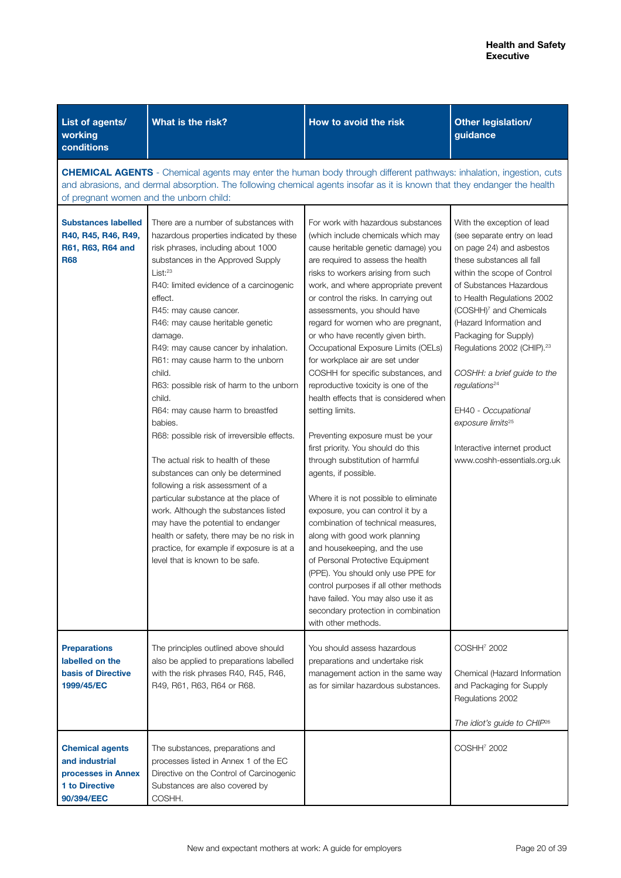| List of agents/<br>working<br>conditions                                                              | What is the risk?                                                                                                                                                                                                                                                                                                                                                                                                                                                                                                                                                                                                                                                                                                                                                                                                                                                                                                              | How to avoid the risk                                                                                                                                                                                                                                                                                                                                                                                                                                                                                                                                                                                                                                                                                                                                                                                                                                                                                                                                                                                                                                                                                                                                        | Other legislation/<br>guidance                                                                                                                                                                                                                                                                                                                                                                                                                                                                                                    |  |  |
|-------------------------------------------------------------------------------------------------------|--------------------------------------------------------------------------------------------------------------------------------------------------------------------------------------------------------------------------------------------------------------------------------------------------------------------------------------------------------------------------------------------------------------------------------------------------------------------------------------------------------------------------------------------------------------------------------------------------------------------------------------------------------------------------------------------------------------------------------------------------------------------------------------------------------------------------------------------------------------------------------------------------------------------------------|--------------------------------------------------------------------------------------------------------------------------------------------------------------------------------------------------------------------------------------------------------------------------------------------------------------------------------------------------------------------------------------------------------------------------------------------------------------------------------------------------------------------------------------------------------------------------------------------------------------------------------------------------------------------------------------------------------------------------------------------------------------------------------------------------------------------------------------------------------------------------------------------------------------------------------------------------------------------------------------------------------------------------------------------------------------------------------------------------------------------------------------------------------------|-----------------------------------------------------------------------------------------------------------------------------------------------------------------------------------------------------------------------------------------------------------------------------------------------------------------------------------------------------------------------------------------------------------------------------------------------------------------------------------------------------------------------------------|--|--|
|                                                                                                       | <b>CHEMICAL AGENTS</b> - Chemical agents may enter the human body through different pathways: inhalation, ingestion, cuts<br>and abrasions, and dermal absorption. The following chemical agents insofar as it is known that they endanger the health<br>of pregnant women and the unborn child:                                                                                                                                                                                                                                                                                                                                                                                                                                                                                                                                                                                                                               |                                                                                                                                                                                                                                                                                                                                                                                                                                                                                                                                                                                                                                                                                                                                                                                                                                                                                                                                                                                                                                                                                                                                                              |                                                                                                                                                                                                                                                                                                                                                                                                                                                                                                                                   |  |  |
| <b>Substances labelled</b><br>R40, R45, R46, R49,<br>R61, R63, R64 and<br><b>R68</b>                  | There are a number of substances with<br>hazardous properties indicated by these<br>risk phrases, including about 1000<br>substances in the Approved Supply<br>List: <sup>23</sup><br>R40: limited evidence of a carcinogenic<br>effect.<br>R45: may cause cancer.<br>R46: may cause heritable genetic<br>damage.<br>R49: may cause cancer by inhalation.<br>R61: may cause harm to the unborn<br>child.<br>R63: possible risk of harm to the unborn<br>child.<br>R64: may cause harm to breastfed<br>babies.<br>R68: possible risk of irreversible effects.<br>The actual risk to health of these<br>substances can only be determined<br>following a risk assessment of a<br>particular substance at the place of<br>work. Although the substances listed<br>may have the potential to endanger<br>health or safety, there may be no risk in<br>practice, for example if exposure is at a<br>level that is known to be safe. | For work with hazardous substances<br>(which include chemicals which may<br>cause heritable genetic damage) you<br>are required to assess the health<br>risks to workers arising from such<br>work, and where appropriate prevent<br>or control the risks. In carrying out<br>assessments, you should have<br>regard for women who are pregnant,<br>or who have recently given birth.<br>Occupational Exposure Limits (OELs)<br>for workplace air are set under<br>COSHH for specific substances, and<br>reproductive toxicity is one of the<br>health effects that is considered when<br>setting limits.<br>Preventing exposure must be your<br>first priority. You should do this<br>through substitution of harmful<br>agents, if possible.<br>Where it is not possible to eliminate<br>exposure, you can control it by a<br>combination of technical measures,<br>along with good work planning<br>and housekeeping, and the use<br>of Personal Protective Equipment<br>(PPE). You should only use PPE for<br>control purposes if all other methods<br>have failed. You may also use it as<br>secondary protection in combination<br>with other methods. | With the exception of lead<br>(see separate entry on lead<br>on page 24) and asbestos<br>these substances all fall<br>within the scope of Control<br>of Substances Hazardous<br>to Health Regulations 2002<br>(COSHH) <sup>7</sup> and Chemicals<br>(Hazard Information and<br>Packaging for Supply)<br>Regulations 2002 (CHIP). <sup>23</sup><br>COSHH: a brief guide to the<br>requlations <sup>24</sup><br>EH40 - Occupational<br>exposure limits <sup>25</sup><br>Interactive internet product<br>www.coshh-essentials.org.uk |  |  |
| <b>Preparations</b><br>labelled on the<br><b>basis of Directive</b><br>1999/45/EC                     | The principles outlined above should<br>also be applied to preparations labelled<br>with the risk phrases R40, R45, R46,<br>R49, R61, R63, R64 or R68.                                                                                                                                                                                                                                                                                                                                                                                                                                                                                                                                                                                                                                                                                                                                                                         | You should assess hazardous<br>preparations and undertake risk<br>management action in the same way<br>as for similar hazardous substances.                                                                                                                                                                                                                                                                                                                                                                                                                                                                                                                                                                                                                                                                                                                                                                                                                                                                                                                                                                                                                  | COSHH <sup>7</sup> 2002<br>Chemical (Hazard Information<br>and Packaging for Supply<br>Regulations 2002<br>The idiot's guide to CHIP <sup>26</sup>                                                                                                                                                                                                                                                                                                                                                                                |  |  |
| <b>Chemical agents</b><br>and industrial<br>processes in Annex<br><b>1 to Directive</b><br>90/394/EEC | The substances, preparations and<br>processes listed in Annex 1 of the EC<br>Directive on the Control of Carcinogenic<br>Substances are also covered by<br>COSHH.                                                                                                                                                                                                                                                                                                                                                                                                                                                                                                                                                                                                                                                                                                                                                              |                                                                                                                                                                                                                                                                                                                                                                                                                                                                                                                                                                                                                                                                                                                                                                                                                                                                                                                                                                                                                                                                                                                                                              | COSHH <sup>7</sup> 2002                                                                                                                                                                                                                                                                                                                                                                                                                                                                                                           |  |  |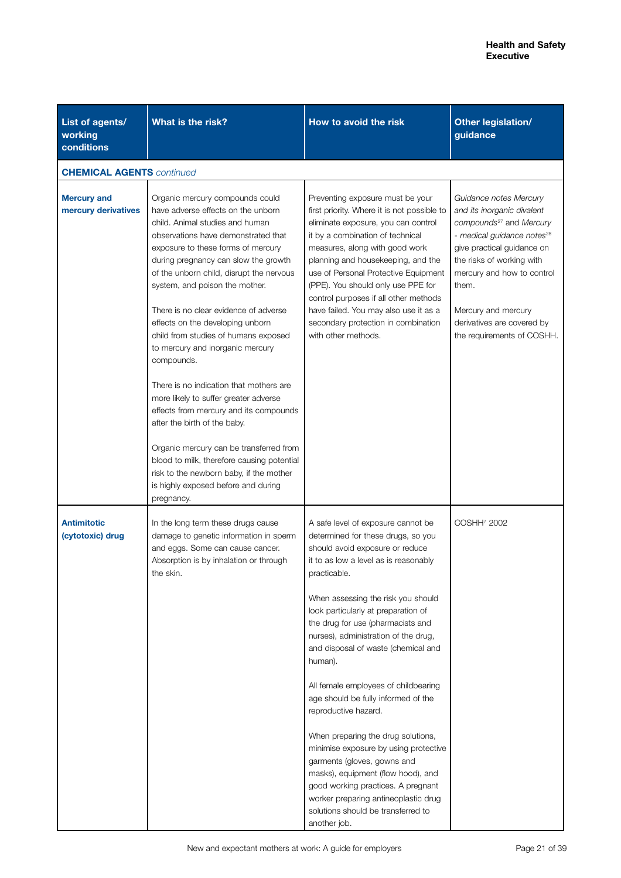| List of agents/<br>working<br>conditions  | What is the risk?                                                                                                                                                                                                                                                                                                                                                                                                                                                                                                                                                                                                                                                                                                                                                                                                                         | How to avoid the risk                                                                                                                                                                                                                                                                                                                                                                                                                                                                                                                                                                                                                                                                                                                                                           | Other legislation/<br>guidance                                                                                                                                                                                                                                                                                             |  |  |
|-------------------------------------------|-------------------------------------------------------------------------------------------------------------------------------------------------------------------------------------------------------------------------------------------------------------------------------------------------------------------------------------------------------------------------------------------------------------------------------------------------------------------------------------------------------------------------------------------------------------------------------------------------------------------------------------------------------------------------------------------------------------------------------------------------------------------------------------------------------------------------------------------|---------------------------------------------------------------------------------------------------------------------------------------------------------------------------------------------------------------------------------------------------------------------------------------------------------------------------------------------------------------------------------------------------------------------------------------------------------------------------------------------------------------------------------------------------------------------------------------------------------------------------------------------------------------------------------------------------------------------------------------------------------------------------------|----------------------------------------------------------------------------------------------------------------------------------------------------------------------------------------------------------------------------------------------------------------------------------------------------------------------------|--|--|
|                                           | <b>CHEMICAL AGENTS continued</b>                                                                                                                                                                                                                                                                                                                                                                                                                                                                                                                                                                                                                                                                                                                                                                                                          |                                                                                                                                                                                                                                                                                                                                                                                                                                                                                                                                                                                                                                                                                                                                                                                 |                                                                                                                                                                                                                                                                                                                            |  |  |
| <b>Mercury and</b><br>mercury derivatives | Organic mercury compounds could<br>have adverse effects on the unborn<br>child. Animal studies and human<br>observations have demonstrated that<br>exposure to these forms of mercury<br>during pregnancy can slow the growth<br>of the unborn child, disrupt the nervous<br>system, and poison the mother.<br>There is no clear evidence of adverse<br>effects on the developing unborn<br>child from studies of humans exposed<br>to mercury and inorganic mercury<br>compounds.<br>There is no indication that mothers are<br>more likely to suffer greater adverse<br>effects from mercury and its compounds<br>after the birth of the baby.<br>Organic mercury can be transferred from<br>blood to milk, therefore causing potential<br>risk to the newborn baby, if the mother<br>is highly exposed before and during<br>pregnancy. | Preventing exposure must be your<br>first priority. Where it is not possible to<br>eliminate exposure, you can control<br>it by a combination of technical<br>measures, along with good work<br>planning and housekeeping, and the<br>use of Personal Protective Equipment<br>(PPE). You should only use PPE for<br>control purposes if all other methods<br>have failed. You may also use it as a<br>secondary protection in combination<br>with other methods.                                                                                                                                                                                                                                                                                                                | Guidance notes Mercury<br>and its inorganic divalent<br>compounds <sup>27</sup> and Mercury<br>- medical guidance notes <sup>28</sup><br>give practical guidance on<br>the risks of working with<br>mercury and how to control<br>them.<br>Mercury and mercury<br>derivatives are covered by<br>the requirements of COSHH. |  |  |
| <b>Antimitotic</b><br>(cytotoxic) drug    | In the long term these drugs cause<br>damage to genetic information in sperm<br>and eggs. Some can cause cancer.<br>Absorption is by inhalation or through<br>the skin.                                                                                                                                                                                                                                                                                                                                                                                                                                                                                                                                                                                                                                                                   | A safe level of exposure cannot be<br>determined for these drugs, so you<br>should avoid exposure or reduce<br>it to as low a level as is reasonably<br>practicable.<br>When assessing the risk you should<br>look particularly at preparation of<br>the drug for use (pharmacists and<br>nurses), administration of the drug,<br>and disposal of waste (chemical and<br>human).<br>All female employees of childbearing<br>age should be fully informed of the<br>reproductive hazard.<br>When preparing the drug solutions,<br>minimise exposure by using protective<br>garments (gloves, gowns and<br>masks), equipment (flow hood), and<br>good working practices. A pregnant<br>worker preparing antineoplastic drug<br>solutions should be transferred to<br>another job. | COSHH <sup>7</sup> 2002                                                                                                                                                                                                                                                                                                    |  |  |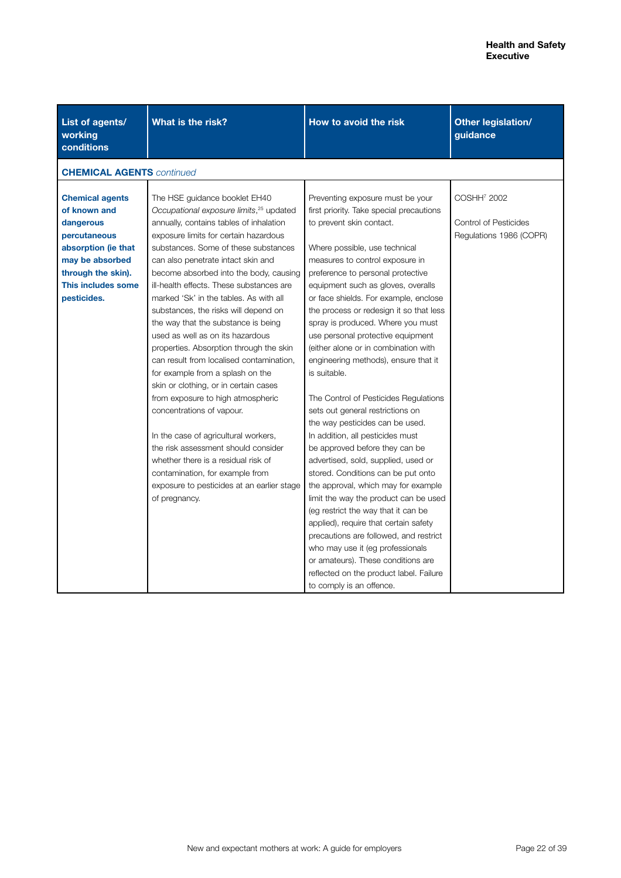| List of agents/<br>working<br>conditions                                                                                                                                 | What is the risk?                                                                                                                                                                                                                                                                                                                                                                                                                                                                                                                                                                                                                                                                                                                                                                                                                                                                                                                                                       | How to avoid the risk                                                                                                                                                                                                                                                                                                                                                                                                                                                                                                                                                                                                                                                                                                                                                                                                                                                                                                                                                                                                                                                        | Other legislation/<br>guidance                                                     |
|--------------------------------------------------------------------------------------------------------------------------------------------------------------------------|-------------------------------------------------------------------------------------------------------------------------------------------------------------------------------------------------------------------------------------------------------------------------------------------------------------------------------------------------------------------------------------------------------------------------------------------------------------------------------------------------------------------------------------------------------------------------------------------------------------------------------------------------------------------------------------------------------------------------------------------------------------------------------------------------------------------------------------------------------------------------------------------------------------------------------------------------------------------------|------------------------------------------------------------------------------------------------------------------------------------------------------------------------------------------------------------------------------------------------------------------------------------------------------------------------------------------------------------------------------------------------------------------------------------------------------------------------------------------------------------------------------------------------------------------------------------------------------------------------------------------------------------------------------------------------------------------------------------------------------------------------------------------------------------------------------------------------------------------------------------------------------------------------------------------------------------------------------------------------------------------------------------------------------------------------------|------------------------------------------------------------------------------------|
| <b>CHEMICAL AGENTS continued</b>                                                                                                                                         |                                                                                                                                                                                                                                                                                                                                                                                                                                                                                                                                                                                                                                                                                                                                                                                                                                                                                                                                                                         |                                                                                                                                                                                                                                                                                                                                                                                                                                                                                                                                                                                                                                                                                                                                                                                                                                                                                                                                                                                                                                                                              |                                                                                    |
| <b>Chemical agents</b><br>of known and<br>dangerous<br>percutaneous<br>absorption (ie that<br>may be absorbed<br>through the skin).<br>This includes some<br>pesticides. | The HSE guidance booklet EH40<br>Occupational exposure limits, <sup>25</sup> updated<br>annually, contains tables of inhalation<br>exposure limits for certain hazardous<br>substances. Some of these substances<br>can also penetrate intact skin and<br>become absorbed into the body, causing<br>ill-health effects. These substances are<br>marked 'Sk' in the tables. As with all<br>substances, the risks will depend on<br>the way that the substance is being<br>used as well as on its hazardous<br>properties. Absorption through the skin<br>can result from localised contamination,<br>for example from a splash on the<br>skin or clothing, or in certain cases<br>from exposure to high atmospheric<br>concentrations of vapour.<br>In the case of agricultural workers,<br>the risk assessment should consider<br>whether there is a residual risk of<br>contamination, for example from<br>exposure to pesticides at an earlier stage<br>of pregnancy. | Preventing exposure must be your<br>first priority. Take special precautions<br>to prevent skin contact.<br>Where possible, use technical<br>measures to control exposure in<br>preference to personal protective<br>equipment such as gloves, overalls<br>or face shields. For example, enclose<br>the process or redesign it so that less<br>spray is produced. Where you must<br>use personal protective equipment<br>(either alone or in combination with<br>engineering methods), ensure that it<br>is suitable.<br>The Control of Pesticides Regulations<br>sets out general restrictions on<br>the way pesticides can be used.<br>In addition, all pesticides must<br>be approved before they can be<br>advertised, sold, supplied, used or<br>stored. Conditions can be put onto<br>the approval, which may for example<br>limit the way the product can be used<br>(eg restrict the way that it can be<br>applied), require that certain safety<br>precautions are followed, and restrict<br>who may use it (eg professionals<br>or amateurs). These conditions are | COSHH <sup>7</sup> 2002<br><b>Control of Pesticides</b><br>Regulations 1986 (COPR) |
|                                                                                                                                                                          |                                                                                                                                                                                                                                                                                                                                                                                                                                                                                                                                                                                                                                                                                                                                                                                                                                                                                                                                                                         | reflected on the product label. Failure<br>to comply is an offence.                                                                                                                                                                                                                                                                                                                                                                                                                                                                                                                                                                                                                                                                                                                                                                                                                                                                                                                                                                                                          |                                                                                    |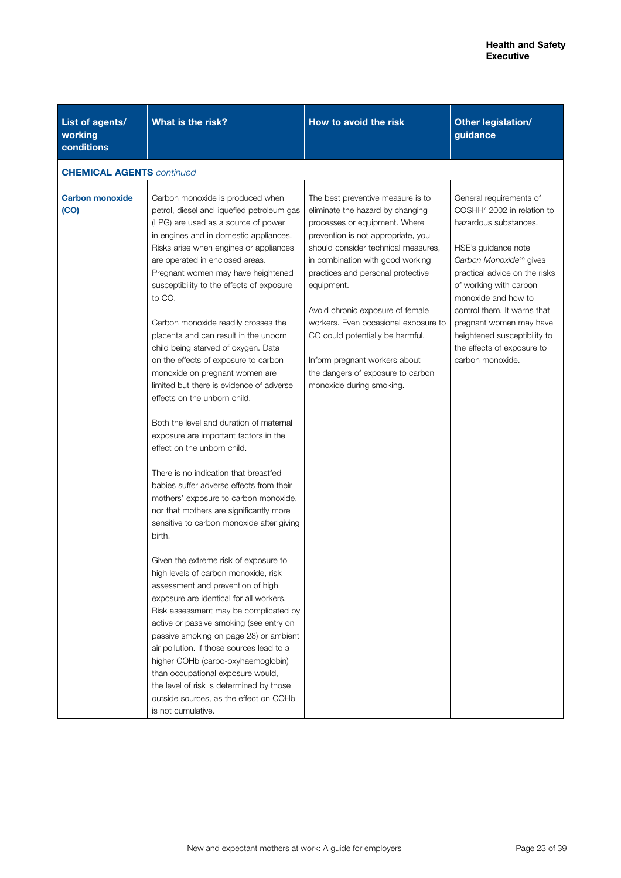| List of agents/<br>working<br>conditions | What is the risk?                                                                                                                                                                                                                                                                                                                                                                                                                                                                                                                                                                                                                                                                                                                                                                                                                                                                                                                                                                                                                                                                                                                                                                                                                                                                                                                                                                                                                                                                                            | How to avoid the risk                                                                                                                                                                                                                                                                                                                                                                                                                                                                        | Other legislation/<br>guidance                                                                                                                                                                                                                                                                                                                                                         |
|------------------------------------------|--------------------------------------------------------------------------------------------------------------------------------------------------------------------------------------------------------------------------------------------------------------------------------------------------------------------------------------------------------------------------------------------------------------------------------------------------------------------------------------------------------------------------------------------------------------------------------------------------------------------------------------------------------------------------------------------------------------------------------------------------------------------------------------------------------------------------------------------------------------------------------------------------------------------------------------------------------------------------------------------------------------------------------------------------------------------------------------------------------------------------------------------------------------------------------------------------------------------------------------------------------------------------------------------------------------------------------------------------------------------------------------------------------------------------------------------------------------------------------------------------------------|----------------------------------------------------------------------------------------------------------------------------------------------------------------------------------------------------------------------------------------------------------------------------------------------------------------------------------------------------------------------------------------------------------------------------------------------------------------------------------------------|----------------------------------------------------------------------------------------------------------------------------------------------------------------------------------------------------------------------------------------------------------------------------------------------------------------------------------------------------------------------------------------|
| <b>CHEMICAL AGENTS continued</b>         |                                                                                                                                                                                                                                                                                                                                                                                                                                                                                                                                                                                                                                                                                                                                                                                                                                                                                                                                                                                                                                                                                                                                                                                                                                                                                                                                                                                                                                                                                                              |                                                                                                                                                                                                                                                                                                                                                                                                                                                                                              |                                                                                                                                                                                                                                                                                                                                                                                        |
| <b>Carbon monoxide</b><br>(CO)           | Carbon monoxide is produced when<br>petrol, diesel and liquefied petroleum gas<br>(LPG) are used as a source of power<br>in engines and in domestic appliances.<br>Risks arise when engines or appliances<br>are operated in enclosed areas.<br>Pregnant women may have heightened<br>susceptibility to the effects of exposure<br>to CO.<br>Carbon monoxide readily crosses the<br>placenta and can result in the unborn<br>child being starved of oxygen. Data<br>on the effects of exposure to carbon<br>monoxide on pregnant women are<br>limited but there is evidence of adverse<br>effects on the unborn child.<br>Both the level and duration of maternal<br>exposure are important factors in the<br>effect on the unborn child.<br>There is no indication that breastfed<br>babies suffer adverse effects from their<br>mothers' exposure to carbon monoxide,<br>nor that mothers are significantly more<br>sensitive to carbon monoxide after giving<br>birth.<br>Given the extreme risk of exposure to<br>high levels of carbon monoxide, risk<br>assessment and prevention of high<br>exposure are identical for all workers.<br>Risk assessment may be complicated by<br>active or passive smoking (see entry on<br>passive smoking on page 28) or ambient<br>air pollution. If those sources lead to a<br>higher COHb (carbo-oxyhaemoglobin)<br>than occupational exposure would,<br>the level of risk is determined by those<br>outside sources, as the effect on COHb<br>is not cumulative. | The best preventive measure is to<br>eliminate the hazard by changing<br>processes or equipment. Where<br>prevention is not appropriate, you<br>should consider technical measures,<br>in combination with good working<br>practices and personal protective<br>equipment.<br>Avoid chronic exposure of female<br>workers. Even occasional exposure to<br>CO could potentially be harmful.<br>Inform pregnant workers about<br>the dangers of exposure to carbon<br>monoxide during smoking. | General requirements of<br>COSHH <sup>7</sup> 2002 in relation to<br>hazardous substances.<br>HSE's guidance note<br>Carbon Monoxide <sup>29</sup> gives<br>practical advice on the risks<br>of working with carbon<br>monoxide and how to<br>control them. It warns that<br>pregnant women may have<br>heightened susceptibility to<br>the effects of exposure to<br>carbon monoxide. |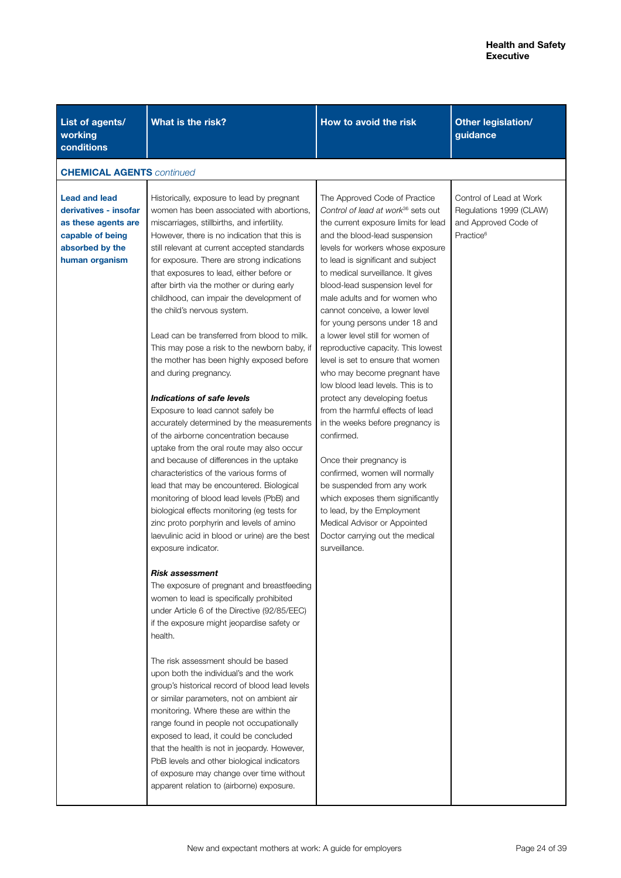| List of agents/<br>working<br>conditions                                                                                      | What is the risk?                                                                                                                                                                                                                                                                                                                                                                                                                                                                                                                                                                                                                                                                                                                                                                                                                                                                                                                                                                                                                                                                                                                                                                                                                                                                                                                                                                                                                                                                                                                                                                                                                                                                                                                                                                                                              | How to avoid the risk                                                                                                                                                                                                                                                                                                                                                                                                                                                                                                                                                                                                                                                                                                                                                                                                                                                                                                                                                        | <b>Other legislation/</b><br>guidance                                                               |  |
|-------------------------------------------------------------------------------------------------------------------------------|--------------------------------------------------------------------------------------------------------------------------------------------------------------------------------------------------------------------------------------------------------------------------------------------------------------------------------------------------------------------------------------------------------------------------------------------------------------------------------------------------------------------------------------------------------------------------------------------------------------------------------------------------------------------------------------------------------------------------------------------------------------------------------------------------------------------------------------------------------------------------------------------------------------------------------------------------------------------------------------------------------------------------------------------------------------------------------------------------------------------------------------------------------------------------------------------------------------------------------------------------------------------------------------------------------------------------------------------------------------------------------------------------------------------------------------------------------------------------------------------------------------------------------------------------------------------------------------------------------------------------------------------------------------------------------------------------------------------------------------------------------------------------------------------------------------------------------|------------------------------------------------------------------------------------------------------------------------------------------------------------------------------------------------------------------------------------------------------------------------------------------------------------------------------------------------------------------------------------------------------------------------------------------------------------------------------------------------------------------------------------------------------------------------------------------------------------------------------------------------------------------------------------------------------------------------------------------------------------------------------------------------------------------------------------------------------------------------------------------------------------------------------------------------------------------------------|-----------------------------------------------------------------------------------------------------|--|
|                                                                                                                               | <b>CHEMICAL AGENTS</b> continued                                                                                                                                                                                                                                                                                                                                                                                                                                                                                                                                                                                                                                                                                                                                                                                                                                                                                                                                                                                                                                                                                                                                                                                                                                                                                                                                                                                                                                                                                                                                                                                                                                                                                                                                                                                               |                                                                                                                                                                                                                                                                                                                                                                                                                                                                                                                                                                                                                                                                                                                                                                                                                                                                                                                                                                              |                                                                                                     |  |
| <b>Lead and lead</b><br>derivatives - insofar<br>as these agents are<br>capable of being<br>absorbed by the<br>human organism | Historically, exposure to lead by pregnant<br>women has been associated with abortions,<br>miscarriages, stillbirths, and infertility.<br>However, there is no indication that this is<br>still relevant at current accepted standards<br>for exposure. There are strong indications<br>that exposures to lead, either before or<br>after birth via the mother or during early<br>childhood, can impair the development of<br>the child's nervous system.<br>Lead can be transferred from blood to milk.<br>This may pose a risk to the newborn baby, if<br>the mother has been highly exposed before<br>and during pregnancy.<br>Indications of safe levels<br>Exposure to lead cannot safely be<br>accurately determined by the measurements<br>of the airborne concentration because<br>uptake from the oral route may also occur<br>and because of differences in the uptake<br>characteristics of the various forms of<br>lead that may be encountered. Biological<br>monitoring of blood lead levels (PbB) and<br>biological effects monitoring (eg tests for<br>zinc proto porphyrin and levels of amino<br>laevulinic acid in blood or urine) are the best<br>exposure indicator.<br>Risk assessment<br>The exposure of pregnant and breastfeeding<br>women to lead is specifically prohibited<br>under Article 6 of the Directive (92/85/EEC)<br>if the exposure might jeopardise safety or<br>health.<br>The risk assessment should be based<br>upon both the individual's and the work<br>group's historical record of blood lead levels<br>or similar parameters, not on ambient air<br>monitoring. Where these are within the<br>range found in people not occupationally<br>exposed to lead, it could be concluded<br>that the health is not in jeopardy. However,<br>PbB levels and other biological indicators | The Approved Code of Practice<br>Control of lead at work <sup>36</sup> sets out<br>the current exposure limits for lead<br>and the blood-lead suspension<br>levels for workers whose exposure<br>to lead is significant and subject<br>to medical surveillance. It gives<br>blood-lead suspension level for<br>male adults and for women who<br>cannot conceive, a lower level<br>for young persons under 18 and<br>a lower level still for women of<br>reproductive capacity. This lowest<br>level is set to ensure that women<br>who may become pregnant have<br>low blood lead levels. This is to<br>protect any developing foetus<br>from the harmful effects of lead<br>in the weeks before pregnancy is<br>confirmed.<br>Once their pregnancy is<br>confirmed, women will normally<br>be suspended from any work<br>which exposes them significantly<br>to lead, by the Employment<br>Medical Advisor or Appointed<br>Doctor carrying out the medical<br>surveillance. | Control of Lead at Work<br>Regulations 1999 (CLAW)<br>and Approved Code of<br>Practice <sup>6</sup> |  |
|                                                                                                                               | of exposure may change over time without<br>apparent relation to (airborne) exposure.                                                                                                                                                                                                                                                                                                                                                                                                                                                                                                                                                                                                                                                                                                                                                                                                                                                                                                                                                                                                                                                                                                                                                                                                                                                                                                                                                                                                                                                                                                                                                                                                                                                                                                                                          |                                                                                                                                                                                                                                                                                                                                                                                                                                                                                                                                                                                                                                                                                                                                                                                                                                                                                                                                                                              |                                                                                                     |  |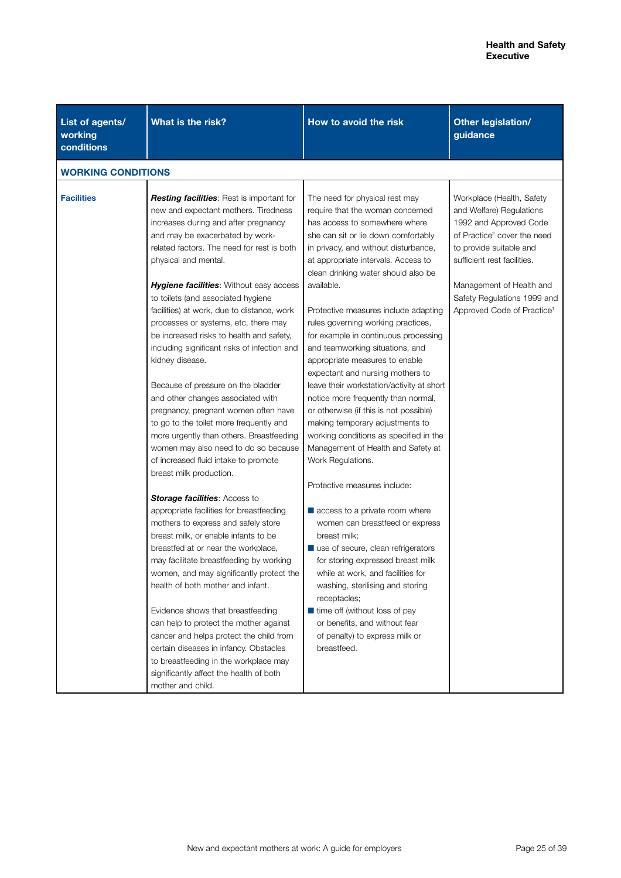| List of agents/<br>working<br>conditions | What is the risk?                                                                                                                                                                                                                                                                                                                                                                                                                                                                                                                                                                                                                                                                                                                                                                                                                                                                                                                                                                                                                                                                                                                                                                                                                                                                                                                                                                                                                                          | How to avoid the risk                                                                                                                                                                                                                                                                                                                                                                                                                                                                                                                                                                                                                                                                                                                                                                                                                                                                                                                                                                                                                                                                                                                                                                                            | Other legislation/<br>guidance                                                                                                                                                                                                                                                            |
|------------------------------------------|------------------------------------------------------------------------------------------------------------------------------------------------------------------------------------------------------------------------------------------------------------------------------------------------------------------------------------------------------------------------------------------------------------------------------------------------------------------------------------------------------------------------------------------------------------------------------------------------------------------------------------------------------------------------------------------------------------------------------------------------------------------------------------------------------------------------------------------------------------------------------------------------------------------------------------------------------------------------------------------------------------------------------------------------------------------------------------------------------------------------------------------------------------------------------------------------------------------------------------------------------------------------------------------------------------------------------------------------------------------------------------------------------------------------------------------------------------|------------------------------------------------------------------------------------------------------------------------------------------------------------------------------------------------------------------------------------------------------------------------------------------------------------------------------------------------------------------------------------------------------------------------------------------------------------------------------------------------------------------------------------------------------------------------------------------------------------------------------------------------------------------------------------------------------------------------------------------------------------------------------------------------------------------------------------------------------------------------------------------------------------------------------------------------------------------------------------------------------------------------------------------------------------------------------------------------------------------------------------------------------------------------------------------------------------------|-------------------------------------------------------------------------------------------------------------------------------------------------------------------------------------------------------------------------------------------------------------------------------------------|
| <b>WORKING CONDITIONS</b>                |                                                                                                                                                                                                                                                                                                                                                                                                                                                                                                                                                                                                                                                                                                                                                                                                                                                                                                                                                                                                                                                                                                                                                                                                                                                                                                                                                                                                                                                            |                                                                                                                                                                                                                                                                                                                                                                                                                                                                                                                                                                                                                                                                                                                                                                                                                                                                                                                                                                                                                                                                                                                                                                                                                  |                                                                                                                                                                                                                                                                                           |
| <b>Facilities</b>                        | <b>Resting facilities</b> : Rest is important for<br>new and expectant mothers. Tiredness<br>increases during and after pregnancy<br>and may be exacerbated by work-<br>related factors. The need for rest is both<br>physical and mental.<br><b>Hygiene facilities:</b> Without easy access<br>to toilets (and associated hygiene<br>facilities) at work, due to distance, work<br>processes or systems, etc, there may<br>be increased risks to health and safety,<br>including significant risks of infection and<br>kidney disease.<br>Because of pressure on the bladder<br>and other changes associated with<br>pregnancy, pregnant women often have<br>to go to the toilet more frequently and<br>more urgently than others. Breastfeeding<br>women may also need to do so because<br>of increased fluid intake to promote<br>breast milk production.<br><b>Storage facilities: Access to</b><br>appropriate facilities for breastfeeding<br>mothers to express and safely store<br>breast milk, or enable infants to be<br>breastfed at or near the workplace,<br>may facilitate breastfeeding by working<br>women, and may significantly protect the<br>health of both mother and infant.<br>Evidence shows that breastfeeding<br>can help to protect the mother against<br>cancer and helps protect the child from<br>certain diseases in infancy. Obstacles<br>to breastfeeding in the workplace may<br>significantly affect the health of both | The need for physical rest may<br>require that the woman concerned<br>has access to somewhere where<br>she can sit or lie down comfortably<br>in privacy, and without disturbance,<br>at appropriate intervals. Access to<br>clean drinking water should also be<br>available.<br>Protective measures include adapting<br>rules governing working practices,<br>for example in continuous processing<br>and teamworking situations, and<br>appropriate measures to enable<br>expectant and nursing mothers to<br>leave their workstation/activity at short<br>notice more frequently than normal,<br>or otherwise (if this is not possible)<br>making temporary adjustments to<br>working conditions as specified in the<br>Management of Health and Safety at<br>Work Regulations.<br>Protective measures include:<br>$\blacksquare$ access to a private room where<br>women can breastfeed or express<br>breast milk;<br>use of secure, clean refrigerators<br>for storing expressed breast milk<br>while at work, and facilities for<br>washing, sterilising and storing<br>receptacles;<br>■ time off (without loss of pay<br>or benefits, and without fear<br>of penalty) to express milk or<br>breastfeed. | Workplace (Health, Safety<br>and Welfare) Regulations<br>1992 and Approved Code<br>of Practice <sup>2</sup> cover the need<br>to provide suitable and<br>sufficient rest facilities.<br>Management of Health and<br>Safety Regulations 1999 and<br>Approved Code of Practice <sup>1</sup> |
|                                          | mother and child.                                                                                                                                                                                                                                                                                                                                                                                                                                                                                                                                                                                                                                                                                                                                                                                                                                                                                                                                                                                                                                                                                                                                                                                                                                                                                                                                                                                                                                          |                                                                                                                                                                                                                                                                                                                                                                                                                                                                                                                                                                                                                                                                                                                                                                                                                                                                                                                                                                                                                                                                                                                                                                                                                  |                                                                                                                                                                                                                                                                                           |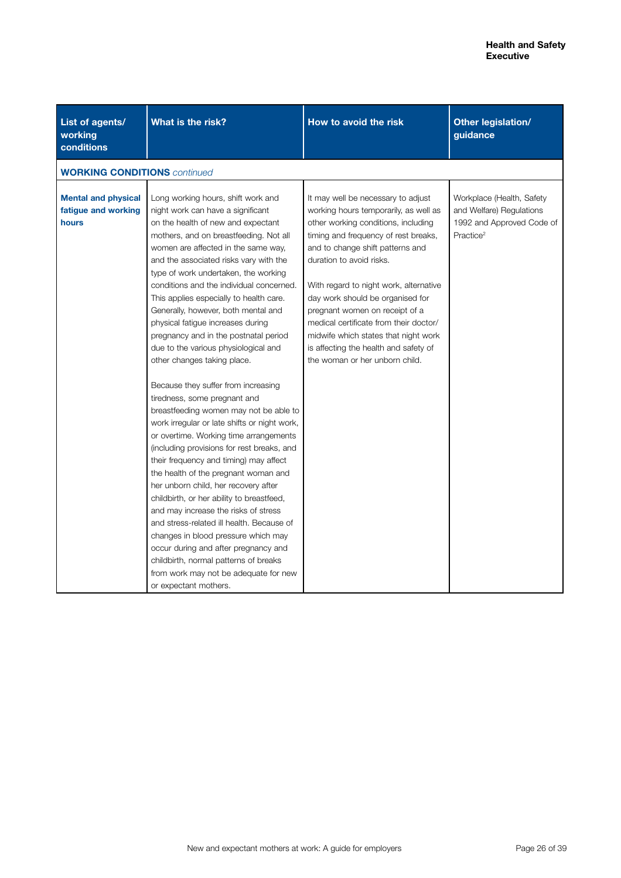| List of agents/<br>working<br>conditions                   | What is the risk?                                                                                                                                                                                                                                                                                                                                                                                                                                                                                                                                                                                                                                                                                                                                                                                                                                                                                                                                                                                                                                                                                                                                                                                                                                                                  | How to avoid the risk                                                                                                                                                                                                                                                                                                                                                                                                                                                                                   | Other legislation/<br>guidance                                                                              |
|------------------------------------------------------------|------------------------------------------------------------------------------------------------------------------------------------------------------------------------------------------------------------------------------------------------------------------------------------------------------------------------------------------------------------------------------------------------------------------------------------------------------------------------------------------------------------------------------------------------------------------------------------------------------------------------------------------------------------------------------------------------------------------------------------------------------------------------------------------------------------------------------------------------------------------------------------------------------------------------------------------------------------------------------------------------------------------------------------------------------------------------------------------------------------------------------------------------------------------------------------------------------------------------------------------------------------------------------------|---------------------------------------------------------------------------------------------------------------------------------------------------------------------------------------------------------------------------------------------------------------------------------------------------------------------------------------------------------------------------------------------------------------------------------------------------------------------------------------------------------|-------------------------------------------------------------------------------------------------------------|
| <b>WORKING CONDITIONS</b> continued                        |                                                                                                                                                                                                                                                                                                                                                                                                                                                                                                                                                                                                                                                                                                                                                                                                                                                                                                                                                                                                                                                                                                                                                                                                                                                                                    |                                                                                                                                                                                                                                                                                                                                                                                                                                                                                                         |                                                                                                             |
| <b>Mental and physical</b><br>fatigue and working<br>hours | Long working hours, shift work and<br>night work can have a significant<br>on the health of new and expectant<br>mothers, and on breastfeeding. Not all<br>women are affected in the same way,<br>and the associated risks vary with the<br>type of work undertaken, the working<br>conditions and the individual concerned.<br>This applies especially to health care.<br>Generally, however, both mental and<br>physical fatigue increases during<br>pregnancy and in the postnatal period<br>due to the various physiological and<br>other changes taking place.<br>Because they suffer from increasing<br>tiredness, some pregnant and<br>breastfeeding women may not be able to<br>work irregular or late shifts or night work,<br>or overtime. Working time arrangements<br>(including provisions for rest breaks, and<br>their frequency and timing) may affect<br>the health of the pregnant woman and<br>her unborn child, her recovery after<br>childbirth, or her ability to breastfeed,<br>and may increase the risks of stress<br>and stress-related ill health. Because of<br>changes in blood pressure which may<br>occur during and after pregnancy and<br>childbirth, normal patterns of breaks<br>from work may not be adequate for new<br>or expectant mothers. | It may well be necessary to adjust<br>working hours temporarily, as well as<br>other working conditions, including<br>timing and frequency of rest breaks,<br>and to change shift patterns and<br>duration to avoid risks.<br>With regard to night work, alternative<br>day work should be organised for<br>pregnant women on receipt of a<br>medical certificate from their doctor/<br>midwife which states that night work<br>is affecting the health and safety of<br>the woman or her unborn child. | Workplace (Health, Safety<br>and Welfare) Regulations<br>1992 and Approved Code of<br>Practice <sup>2</sup> |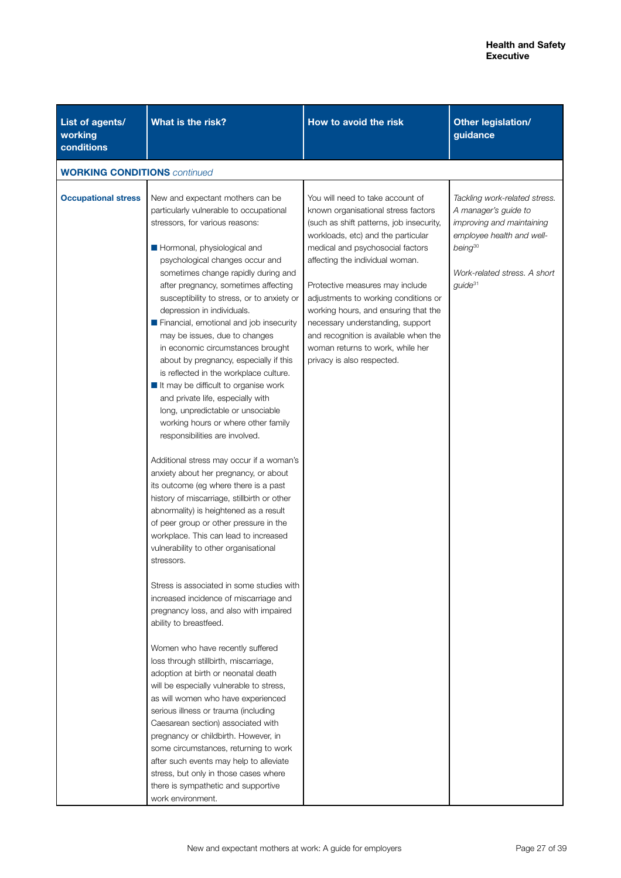| List of agents/<br>working<br>conditions | What is the risk?                                                                                                                                                                                                                                                                                                                                                                                                                                                                                                                                                                                                                                                                                                                                                                                                                                                                                                                                                                                                                                                                                                                                                                                                                                                                                                                                                                                                                                                                                                                                                                                                                                                                                                                                                                      | How to avoid the risk                                                                                                                                                                                                                                                                                                                                                                                                                                                                              | Other legislation/<br>guidance                                                                                                                                                         |
|------------------------------------------|----------------------------------------------------------------------------------------------------------------------------------------------------------------------------------------------------------------------------------------------------------------------------------------------------------------------------------------------------------------------------------------------------------------------------------------------------------------------------------------------------------------------------------------------------------------------------------------------------------------------------------------------------------------------------------------------------------------------------------------------------------------------------------------------------------------------------------------------------------------------------------------------------------------------------------------------------------------------------------------------------------------------------------------------------------------------------------------------------------------------------------------------------------------------------------------------------------------------------------------------------------------------------------------------------------------------------------------------------------------------------------------------------------------------------------------------------------------------------------------------------------------------------------------------------------------------------------------------------------------------------------------------------------------------------------------------------------------------------------------------------------------------------------------|----------------------------------------------------------------------------------------------------------------------------------------------------------------------------------------------------------------------------------------------------------------------------------------------------------------------------------------------------------------------------------------------------------------------------------------------------------------------------------------------------|----------------------------------------------------------------------------------------------------------------------------------------------------------------------------------------|
| <b>WORKING CONDITIONS</b> continued      |                                                                                                                                                                                                                                                                                                                                                                                                                                                                                                                                                                                                                                                                                                                                                                                                                                                                                                                                                                                                                                                                                                                                                                                                                                                                                                                                                                                                                                                                                                                                                                                                                                                                                                                                                                                        |                                                                                                                                                                                                                                                                                                                                                                                                                                                                                                    |                                                                                                                                                                                        |
| <b>Occupational stress</b>               | New and expectant mothers can be<br>particularly vulnerable to occupational<br>stressors, for various reasons:<br>Hormonal, physiological and<br>psychological changes occur and<br>sometimes change rapidly during and<br>after pregnancy, sometimes affecting<br>susceptibility to stress, or to anxiety or<br>depression in individuals.<br>Financial, emotional and job insecurity<br>may be issues, due to changes<br>in economic circumstances brought<br>about by pregnancy, especially if this<br>is reflected in the workplace culture.<br>$\blacksquare$ It may be difficult to organise work<br>and private life, especially with<br>long, unpredictable or unsociable<br>working hours or where other family<br>responsibilities are involved.<br>Additional stress may occur if a woman's<br>anxiety about her pregnancy, or about<br>its outcome (eg where there is a past<br>history of miscarriage, stillbirth or other<br>abnormality) is heightened as a result<br>of peer group or other pressure in the<br>workplace. This can lead to increased<br>vulnerability to other organisational<br>stressors.<br>Stress is associated in some studies with<br>increased incidence of miscarriage and<br>pregnancy loss, and also with impaired<br>ability to breastfeed.<br>Women who have recently suffered<br>loss through stillbirth, miscarriage,<br>adoption at birth or neonatal death<br>will be especially vulnerable to stress,<br>as will women who have experienced<br>serious illness or trauma (including<br>Caesarean section) associated with<br>pregnancy or childbirth. However, in<br>some circumstances, returning to work<br>after such events may help to alleviate<br>stress, but only in those cases where<br>there is sympathetic and supportive | You will need to take account of<br>known organisational stress factors<br>(such as shift patterns, job insecurity,<br>workloads, etc) and the particular<br>medical and psychosocial factors<br>affecting the individual woman.<br>Protective measures may include<br>adjustments to working conditions or<br>working hours, and ensuring that the<br>necessary understanding, support<br>and recognition is available when the<br>woman returns to work, while her<br>privacy is also respected. | Tackling work-related stress.<br>A manager's guide to<br>improving and maintaining<br>employee health and well-<br>$being^{30}$<br>Work-related stress. A short<br>guide <sup>31</sup> |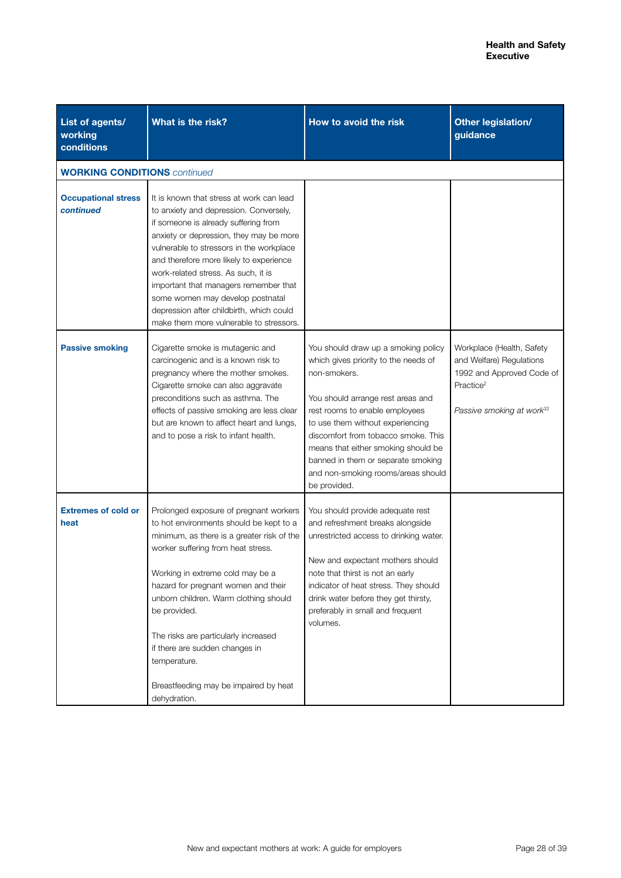| List of agents/<br>working<br>conditions | What is the risk?                                                                                                                                                                                                                                                                                                                                                                                                                                                       | How to avoid the risk                                                                                                                                                                                                                                                                                                                                                            | Other legislation/<br>guidance                                                                                                                       |
|------------------------------------------|-------------------------------------------------------------------------------------------------------------------------------------------------------------------------------------------------------------------------------------------------------------------------------------------------------------------------------------------------------------------------------------------------------------------------------------------------------------------------|----------------------------------------------------------------------------------------------------------------------------------------------------------------------------------------------------------------------------------------------------------------------------------------------------------------------------------------------------------------------------------|------------------------------------------------------------------------------------------------------------------------------------------------------|
| <b>WORKING CONDITIONS</b> continued      |                                                                                                                                                                                                                                                                                                                                                                                                                                                                         |                                                                                                                                                                                                                                                                                                                                                                                  |                                                                                                                                                      |
| <b>Occupational stress</b><br>continued  | It is known that stress at work can lead<br>to anxiety and depression. Conversely,<br>if someone is already suffering from<br>anxiety or depression, they may be more<br>vulnerable to stressors in the workplace<br>and therefore more likely to experience<br>work-related stress. As such, it is<br>important that managers remember that<br>some women may develop postnatal<br>depression after childbirth, which could<br>make them more vulnerable to stressors. |                                                                                                                                                                                                                                                                                                                                                                                  |                                                                                                                                                      |
| <b>Passive smoking</b>                   | Cigarette smoke is mutagenic and<br>carcinogenic and is a known risk to<br>pregnancy where the mother smokes.<br>Cigarette smoke can also aggravate<br>preconditions such as asthma. The<br>effects of passive smoking are less clear<br>but are known to affect heart and lungs,<br>and to pose a risk to infant health.                                                                                                                                               | You should draw up a smoking policy<br>which gives priority to the needs of<br>non-smokers.<br>You should arrange rest areas and<br>rest rooms to enable employees<br>to use them without experiencing<br>discomfort from tobacco smoke. This<br>means that either smoking should be<br>banned in them or separate smoking<br>and non-smoking rooms/areas should<br>be provided. | Workplace (Health, Safety<br>and Welfare) Regulations<br>1992 and Approved Code of<br>Practice <sup>2</sup><br>Passive smoking at work <sup>32</sup> |
| <b>Extremes of cold or</b><br>heat       | Prolonged exposure of pregnant workers<br>to hot environments should be kept to a<br>minimum, as there is a greater risk of the<br>worker suffering from heat stress.<br>Working in extreme cold may be a<br>hazard for pregnant women and their<br>unborn children. Warm clothing should<br>be provided.<br>The risks are particularly increased<br>if there are sudden changes in<br>temperature.<br>Breastfeeding may be impaired by heat<br>dehydration.            | You should provide adequate rest<br>and refreshment breaks alongside<br>unrestricted access to drinking water.<br>New and expectant mothers should<br>note that thirst is not an early<br>indicator of heat stress. They should<br>drink water before they get thirsty,<br>preferably in small and frequent<br>volumes.                                                          |                                                                                                                                                      |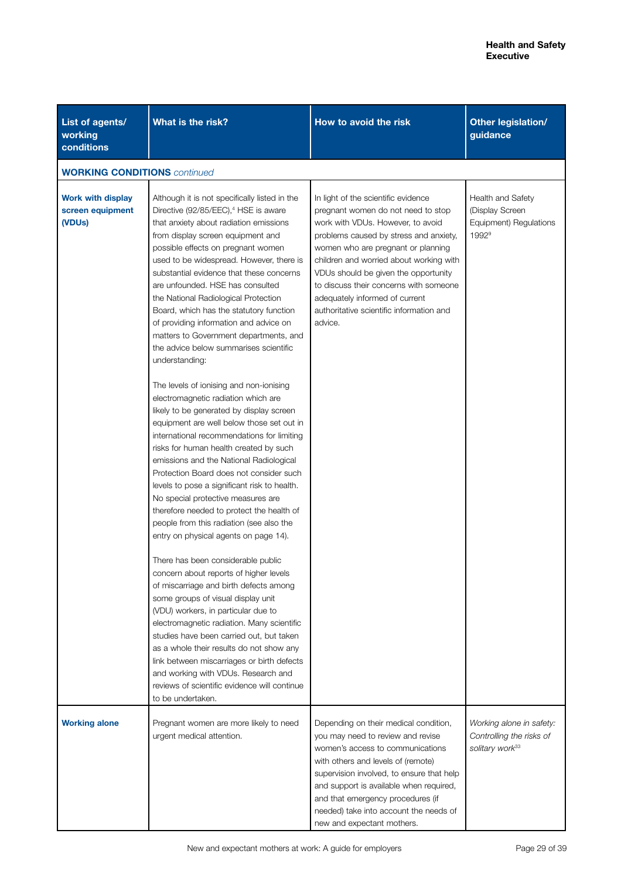| List of agents/<br>working<br>conditions                            | What is the risk?                                                                                                                                                                                                                                                                                                                                                                                                                                                                                                                                                                                                                                                                                                                                                                                                                                                                                                                                                                                                                                                                                                                                                                                                                                                                                                                                                                                                                                                                                                                                                                                        | How to avoid the risk                                                                                                                                                                                                                                                                                                                                                                                                | Other legislation/<br>guidance                                                      |
|---------------------------------------------------------------------|----------------------------------------------------------------------------------------------------------------------------------------------------------------------------------------------------------------------------------------------------------------------------------------------------------------------------------------------------------------------------------------------------------------------------------------------------------------------------------------------------------------------------------------------------------------------------------------------------------------------------------------------------------------------------------------------------------------------------------------------------------------------------------------------------------------------------------------------------------------------------------------------------------------------------------------------------------------------------------------------------------------------------------------------------------------------------------------------------------------------------------------------------------------------------------------------------------------------------------------------------------------------------------------------------------------------------------------------------------------------------------------------------------------------------------------------------------------------------------------------------------------------------------------------------------------------------------------------------------|----------------------------------------------------------------------------------------------------------------------------------------------------------------------------------------------------------------------------------------------------------------------------------------------------------------------------------------------------------------------------------------------------------------------|-------------------------------------------------------------------------------------|
| <b>WORKING CONDITIONS</b> continued                                 |                                                                                                                                                                                                                                                                                                                                                                                                                                                                                                                                                                                                                                                                                                                                                                                                                                                                                                                                                                                                                                                                                                                                                                                                                                                                                                                                                                                                                                                                                                                                                                                                          |                                                                                                                                                                                                                                                                                                                                                                                                                      |                                                                                     |
| <b>Work with display</b><br>screen equipment<br>(VDU <sub>s</sub> ) | Although it is not specifically listed in the<br>Directive (92/85/EEC), <sup>4</sup> HSE is aware<br>that anxiety about radiation emissions<br>from display screen equipment and<br>possible effects on pregnant women<br>used to be widespread. However, there is<br>substantial evidence that these concerns<br>are unfounded. HSE has consulted<br>the National Radiological Protection<br>Board, which has the statutory function<br>of providing information and advice on<br>matters to Government departments, and<br>the advice below summarises scientific<br>understanding:<br>The levels of ionising and non-ionising<br>electromagnetic radiation which are<br>likely to be generated by display screen<br>equipment are well below those set out in<br>international recommendations for limiting<br>risks for human health created by such<br>emissions and the National Radiological<br>Protection Board does not consider such<br>levels to pose a significant risk to health.<br>No special protective measures are<br>therefore needed to protect the health of<br>people from this radiation (see also the<br>entry on physical agents on page 14).<br>There has been considerable public<br>concern about reports of higher levels<br>of miscarriage and birth defects among<br>some groups of visual display unit<br>(VDU) workers, in particular due to<br>electromagnetic radiation. Many scientific<br>studies have been carried out, but taken<br>as a whole their results do not show any<br>link between miscarriages or birth defects<br>and working with VDUs. Research and | In light of the scientific evidence<br>pregnant women do not need to stop<br>work with VDUs. However, to avoid<br>problems caused by stress and anxiety,<br>women who are pregnant or planning<br>children and worried about working with<br>VDUs should be given the opportunity<br>to discuss their concerns with someone<br>adequately informed of current<br>authoritative scientific information and<br>advice. | Health and Safety<br>(Display Screen<br>Equipment) Regulations<br>1992 <sup>9</sup> |
|                                                                     | reviews of scientific evidence will continue<br>to be undertaken.                                                                                                                                                                                                                                                                                                                                                                                                                                                                                                                                                                                                                                                                                                                                                                                                                                                                                                                                                                                                                                                                                                                                                                                                                                                                                                                                                                                                                                                                                                                                        |                                                                                                                                                                                                                                                                                                                                                                                                                      |                                                                                     |
| <b>Working alone</b>                                                | Pregnant women are more likely to need<br>urgent medical attention.                                                                                                                                                                                                                                                                                                                                                                                                                                                                                                                                                                                                                                                                                                                                                                                                                                                                                                                                                                                                                                                                                                                                                                                                                                                                                                                                                                                                                                                                                                                                      | Depending on their medical condition,<br>you may need to review and revise<br>women's access to communications<br>with others and levels of (remote)<br>supervision involved, to ensure that help<br>and support is available when required,<br>and that emergency procedures (if<br>needed) take into account the needs of<br>new and expectant mothers.                                                            | Working alone in safety:<br>Controlling the risks of<br>solitary work <sup>33</sup> |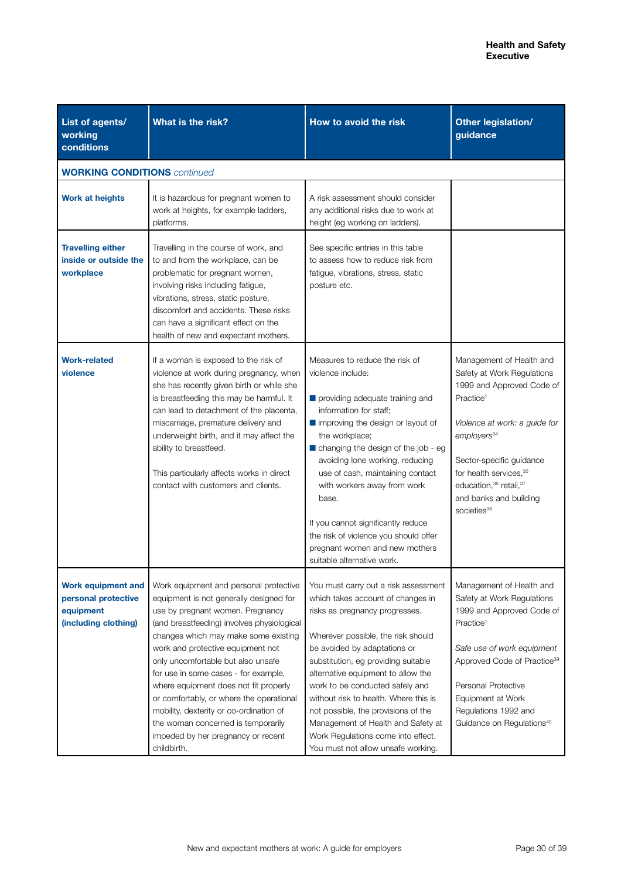| List of agents/<br>working<br>conditions                                              | What is the risk?                                                                                                                                                                                                                                                                                                                                                                                                                                                                                                                                         | How to avoid the risk                                                                                                                                                                                                                                                                                                                                                                                                                                                                               | Other legislation/<br>guidance                                                                                                                                                                                                                                                                                   |
|---------------------------------------------------------------------------------------|-----------------------------------------------------------------------------------------------------------------------------------------------------------------------------------------------------------------------------------------------------------------------------------------------------------------------------------------------------------------------------------------------------------------------------------------------------------------------------------------------------------------------------------------------------------|-----------------------------------------------------------------------------------------------------------------------------------------------------------------------------------------------------------------------------------------------------------------------------------------------------------------------------------------------------------------------------------------------------------------------------------------------------------------------------------------------------|------------------------------------------------------------------------------------------------------------------------------------------------------------------------------------------------------------------------------------------------------------------------------------------------------------------|
| <b>WORKING CONDITIONS</b> continued                                                   |                                                                                                                                                                                                                                                                                                                                                                                                                                                                                                                                                           |                                                                                                                                                                                                                                                                                                                                                                                                                                                                                                     |                                                                                                                                                                                                                                                                                                                  |
| <b>Work at heights</b>                                                                | It is hazardous for pregnant women to<br>work at heights, for example ladders,<br>platforms.                                                                                                                                                                                                                                                                                                                                                                                                                                                              | A risk assessment should consider<br>any additional risks due to work at<br>height (eg working on ladders).                                                                                                                                                                                                                                                                                                                                                                                         |                                                                                                                                                                                                                                                                                                                  |
| <b>Travelling either</b><br>inside or outside the<br>workplace                        | Travelling in the course of work, and<br>to and from the workplace, can be<br>problematic for pregnant women,<br>involving risks including fatigue,<br>vibrations, stress, static posture,<br>discomfort and accidents. These risks<br>can have a significant effect on the<br>health of new and expectant mothers.                                                                                                                                                                                                                                       | See specific entries in this table<br>to assess how to reduce risk from<br>fatigue, vibrations, stress, static<br>posture etc.                                                                                                                                                                                                                                                                                                                                                                      |                                                                                                                                                                                                                                                                                                                  |
| <b>Work-related</b><br>violence                                                       | If a woman is exposed to the risk of<br>violence at work during pregnancy, when<br>she has recently given birth or while she<br>is breastfeeding this may be harmful. It<br>can lead to detachment of the placenta,<br>miscarriage, premature delivery and<br>underweight birth, and it may affect the<br>ability to breastfeed.<br>This particularly affects works in direct<br>contact with customers and clients.                                                                                                                                      | Measures to reduce the risk of<br>violence include:<br>providing adequate training and<br>information for staff;<br>$\blacksquare$ improving the design or layout of<br>the workplace;<br>changing the design of the job - eg<br>avoiding lone working, reducing<br>use of cash, maintaining contact<br>with workers away from work<br>base.<br>If you cannot significantly reduce<br>the risk of violence you should offer<br>pregnant women and new mothers<br>suitable alternative work.         | Management of Health and<br>Safety at Work Regulations<br>1999 and Approved Code of<br>Practice <sup>1</sup><br>Violence at work: a guide for<br>employers <sup>34</sup><br>Sector-specific guidance<br>for health services, 35<br>education, 36 retail, 37<br>and banks and building<br>societies <sup>38</sup> |
| <b>Work equipment and</b><br>personal protective<br>equipment<br>(including clothing) | Work equipment and personal protective<br>equipment is not generally designed for<br>use by pregnant women. Pregnancy<br>(and breastfeeding) involves physiological<br>changes which may make some existing<br>work and protective equipment not<br>only uncomfortable but also unsafe<br>for use in some cases - for example,<br>where equipment does not fit properly<br>or comfortably, or where the operational<br>mobility, dexterity or co-ordination of<br>the woman concerned is temporarily<br>impeded by her pregnancy or recent<br>childbirth. | You must carry out a risk assessment<br>which takes account of changes in<br>risks as pregnancy progresses.<br>Wherever possible, the risk should<br>be avoided by adaptations or<br>substitution, eg providing suitable<br>alternative equipment to allow the<br>work to be conducted safely and<br>without risk to health. Where this is<br>not possible, the provisions of the<br>Management of Health and Safety at<br>Work Regulations come into effect.<br>You must not allow unsafe working. | Management of Health and<br>Safety at Work Regulations<br>1999 and Approved Code of<br>Practice <sup>1</sup><br>Safe use of work equipment<br>Approved Code of Practice <sup>39</sup><br>Personal Protective<br>Equipment at Work<br>Regulations 1992 and<br>Guidance on Regulations <sup>40</sup>               |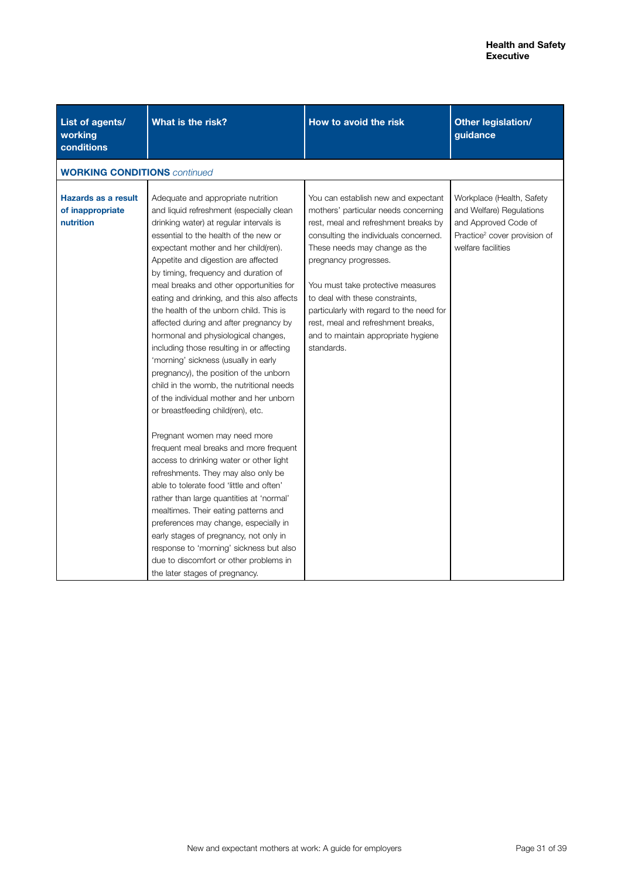| List of agents/<br>working<br>conditions                    | What is the risk?                                                                                                                                                                                                                                                                                                                                                                                                                                                                                                                                                                                                                                                                                                                                                                                                                                                                                                                                                                                                                                                                                                                                                                                                                                                               | How to avoid the risk                                                                                                                                                                                                                                                                                                                                                                                                                 | Other legislation/<br>guidance                                                                                                                  |
|-------------------------------------------------------------|---------------------------------------------------------------------------------------------------------------------------------------------------------------------------------------------------------------------------------------------------------------------------------------------------------------------------------------------------------------------------------------------------------------------------------------------------------------------------------------------------------------------------------------------------------------------------------------------------------------------------------------------------------------------------------------------------------------------------------------------------------------------------------------------------------------------------------------------------------------------------------------------------------------------------------------------------------------------------------------------------------------------------------------------------------------------------------------------------------------------------------------------------------------------------------------------------------------------------------------------------------------------------------|---------------------------------------------------------------------------------------------------------------------------------------------------------------------------------------------------------------------------------------------------------------------------------------------------------------------------------------------------------------------------------------------------------------------------------------|-------------------------------------------------------------------------------------------------------------------------------------------------|
| <b>WORKING CONDITIONS</b> continued                         |                                                                                                                                                                                                                                                                                                                                                                                                                                                                                                                                                                                                                                                                                                                                                                                                                                                                                                                                                                                                                                                                                                                                                                                                                                                                                 |                                                                                                                                                                                                                                                                                                                                                                                                                                       |                                                                                                                                                 |
| <b>Hazards as a result</b><br>of inappropriate<br>nutrition | Adequate and appropriate nutrition<br>and liquid refreshment (especially clean<br>drinking water) at regular intervals is<br>essential to the health of the new or<br>expectant mother and her child(ren).<br>Appetite and digestion are affected<br>by timing, frequency and duration of<br>meal breaks and other opportunities for<br>eating and drinking, and this also affects<br>the health of the unborn child. This is<br>affected during and after pregnancy by<br>hormonal and physiological changes,<br>including those resulting in or affecting<br>'morning' sickness (usually in early<br>pregnancy), the position of the unborn<br>child in the womb, the nutritional needs<br>of the individual mother and her unborn<br>or breastfeeding child(ren), etc.<br>Pregnant women may need more<br>frequent meal breaks and more frequent<br>access to drinking water or other light<br>refreshments. They may also only be<br>able to tolerate food 'little and often'<br>rather than large quantities at 'normal'<br>mealtimes. Their eating patterns and<br>preferences may change, especially in<br>early stages of pregnancy, not only in<br>response to 'morning' sickness but also<br>due to discomfort or other problems in<br>the later stages of pregnancy. | You can establish new and expectant<br>mothers' particular needs concerning<br>rest, meal and refreshment breaks by<br>consulting the individuals concerned.<br>These needs may change as the<br>pregnancy progresses.<br>You must take protective measures<br>to deal with these constraints,<br>particularly with regard to the need for<br>rest, meal and refreshment breaks,<br>and to maintain appropriate hygiene<br>standards. | Workplace (Health, Safety<br>and Welfare) Regulations<br>and Approved Code of<br>Practice <sup>2</sup> cover provision of<br>welfare facilities |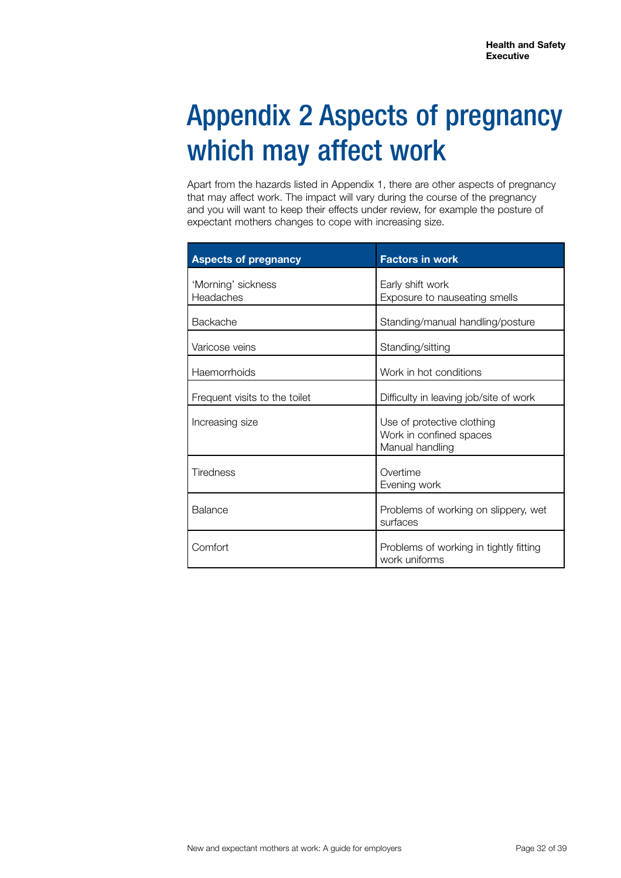## Appendix 2 Aspects of pregnancy which may affect work

Apart from the hazards listed in Appendix 1, there are other aspects of pregnancy that may affect work. The impact will vary during the course of the pregnancy and you will want to keep their effects under review, for example the posture of expectant mothers changes to cope with increasing size.

| <b>Aspects of pregnancy</b>     | <b>Factors in work</b>                                                   |
|---------------------------------|--------------------------------------------------------------------------|
| 'Morning' sickness<br>Headaches | Early shift work<br>Exposure to nauseating smells                        |
| Backache                        | Standing/manual handling/posture                                         |
| Varicose veins                  | Standing/sitting                                                         |
| Haemorrhoids                    | Work in hot conditions                                                   |
| Frequent visits to the toilet   | Difficulty in leaving job/site of work                                   |
| Increasing size                 | Use of protective clothing<br>Work in confined spaces<br>Manual handling |
| <b>Tiredness</b>                | Overtime<br>Evening work                                                 |
| Balance                         | Problems of working on slippery, wet<br>surfaces                         |
| Comfort                         | Problems of working in tightly fitting<br>work uniforms                  |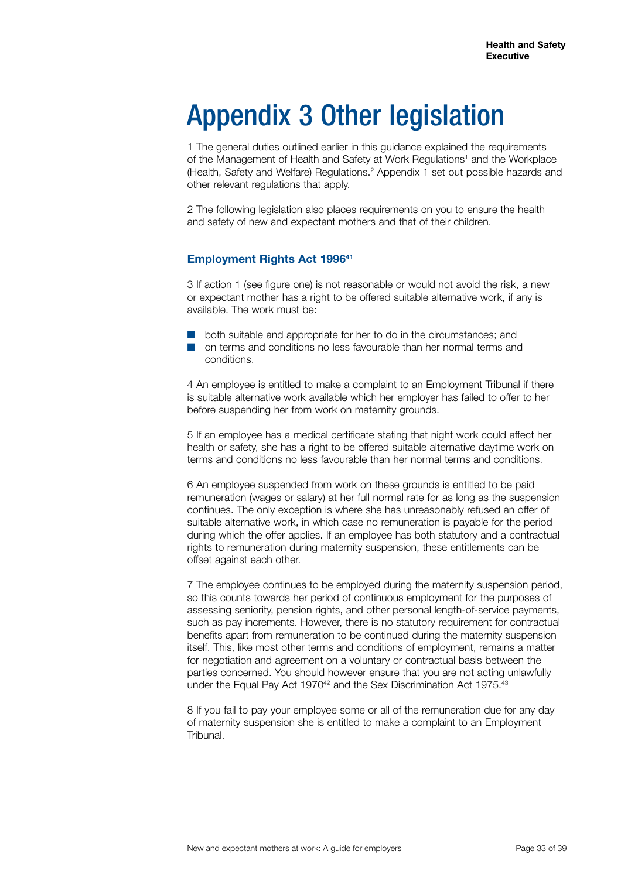## Appendix 3 Other legislation

1 The general duties outlined earlier in this guidance explained the requirements of the Management of Health and Safety at Work Regulations<sup>1</sup> and the Workplace (Health, Safety and Welfare) Regulations.2 Appendix 1 set out possible hazards and other relevant regulations that apply.

2 The following legislation also places requirements on you to ensure the health and safety of new and expectant mothers and that of their children.

#### **Employment Rights Act 199641**

3 If action 1 (see figure one) is not reasonable or would not avoid the risk, a new or expectant mother has a right to be offered suitable alternative work, if any is available. The work must be:

- $\Box$  both suitable and appropriate for her to do in the circumstances; and
- **Q on terms and conditions no less favourable than her normal terms and** conditions.

4 An employee is entitled to make a complaint to an Employment Tribunal if there is suitable alternative work available which her employer has failed to offer to her before suspending her from work on maternity grounds.

5 If an employee has a medical certificate stating that night work could affect her health or safety, she has a right to be offered suitable alternative daytime work on terms and conditions no less favourable than her normal terms and conditions.

6 An employee suspended from work on these grounds is entitled to be paid remuneration (wages or salary) at her full normal rate for as long as the suspension continues. The only exception is where she has unreasonably refused an offer of suitable alternative work, in which case no remuneration is payable for the period during which the offer applies. If an employee has both statutory and a contractual rights to remuneration during maternity suspension, these entitlements can be offset against each other.

7 The employee continues to be employed during the maternity suspension period, so this counts towards her period of continuous employment for the purposes of assessing seniority, pension rights, and other personal length-of-service payments, such as pay increments. However, there is no statutory requirement for contractual benefits apart from remuneration to be continued during the maternity suspension itself. This, like most other terms and conditions of employment, remains a matter for negotiation and agreement on a voluntary or contractual basis between the parties concerned. You should however ensure that you are not acting unlawfully under the Equal Pay Act 1970<sup>42</sup> and the Sex Discrimination Act 1975.<sup>43</sup>

8 If you fail to pay your employee some or all of the remuneration due for any day of maternity suspension she is entitled to make a complaint to an Employment Tribunal.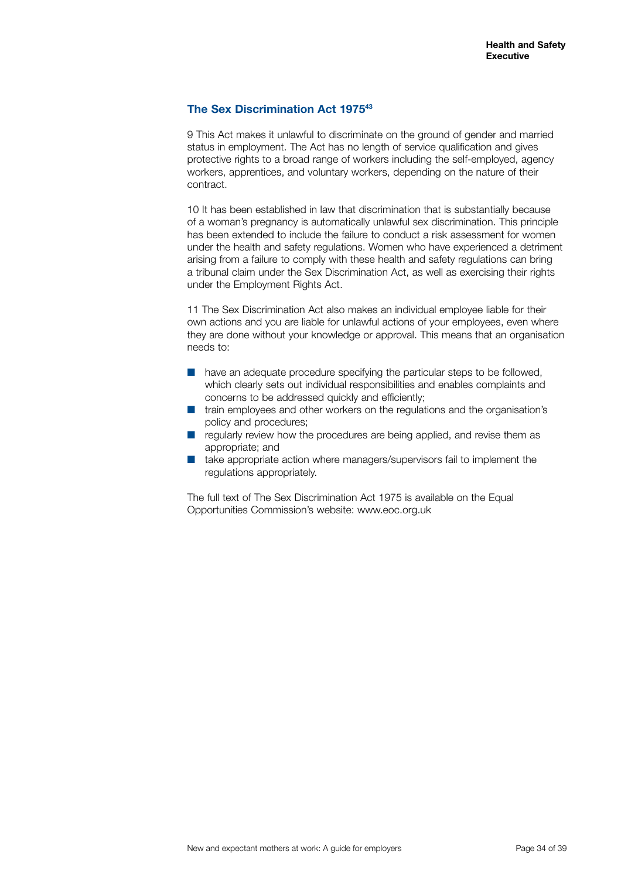#### **The Sex Discrimination Act 197543**

9 This Act makes it unlawful to discriminate on the ground of gender and married status in employment. The Act has no length of service qualification and gives protective rights to a broad range of workers including the self-employed, agency workers, apprentices, and voluntary workers, depending on the nature of their contract.

10 It has been established in law that discrimination that is substantially because of a woman's pregnancy is automatically unlawful sex discrimination. This principle has been extended to include the failure to conduct a risk assessment for women under the health and safety regulations. Women who have experienced a detriment arising from a failure to comply with these health and safety regulations can bring a tribunal claim under the Sex Discrimination Act, as well as exercising their rights under the Employment Rights Act.

11 The Sex Discrimination Act also makes an individual employee liable for their own actions and you are liable for unlawful actions of your employees, even where they are done without your knowledge or approval. This means that an organisation needs to:

- $\blacksquare$  have an adequate procedure specifying the particular steps to be followed, which clearly sets out individual responsibilities and enables complaints and concerns to be addressed quickly and efficiently;
- **T** train employees and other workers on the regulations and the organisation's policy and procedures;
- $\blacksquare$  regularly review how the procedures are being applied, and revise them as appropriate; and
- take appropriate action where managers/supervisors fail to implement the regulations appropriately.

The full text of The Sex Discrimination Act 1975 is available on the Equal Opportunities Commission's website: www.eoc.org.uk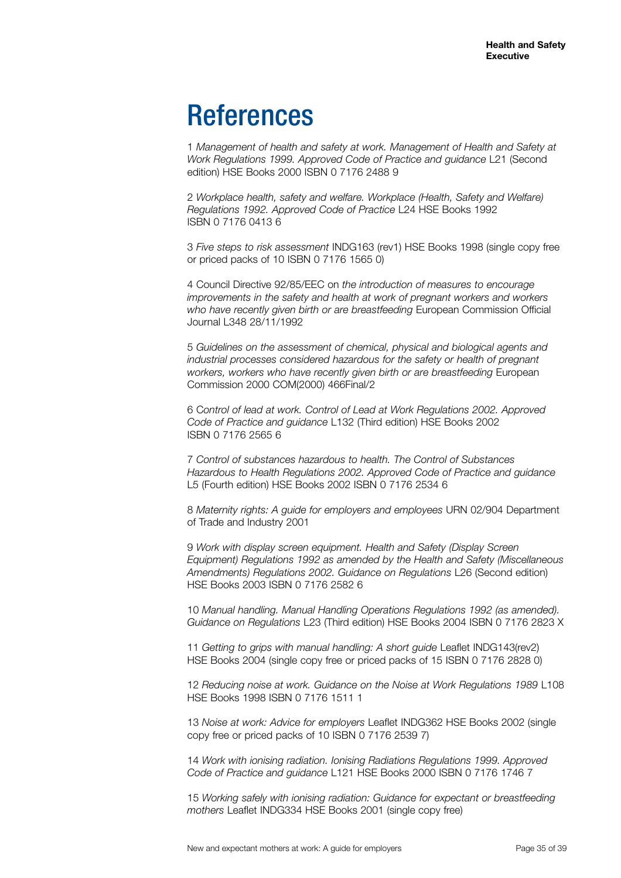### References

1 *Management of health and safety at work. Management of Health and Safety at Work Regulations 1999. Approved Code of Practice and guidance* L21 (Second edition) HSE Books 2000 ISBN 0 7176 2488 9

2 *Workplace health, safety and welfare. Workplace (Health, Safety and Welfare) Regulations 1992. Approved Code of Practice* L24 HSE Books 1992 ISBN 0 7176 0413 6

3 *Five steps to risk assessment* INDG163 (rev1) HSE Books 1998 (single copy free or priced packs of 10 ISBN 0 7176 1565 0)

4 Council Directive 92/85/EEC on *the introduction of measures to encourage improvements in the safety and health at work of pregnant workers and workers who have recently given birth or are breastfeeding* European Commission Official Journal L348 28/11/1992

5 *Guidelines on the assessment of chemical, physical and biological agents and industrial processes considered hazardous for the safety or health of pregnant workers, workers who have recently given birth or are breastfeeding* European Commission 2000 COM(2000) 466Final/2

6 C*ontrol of lead at work. Control of Lead at Work Regulations 2002. Approved Code of Practice and guidance* L132 (Third edition) HSE Books 2002 ISBN 0 7176 2565 6

7 *Control of substances hazardous to health. The Control of Substances Hazardous to Health Regulations 2002. Approved Code of Practice and guidance*  L5 (Fourth edition) HSE Books 2002 ISBN 0 7176 2534 6

8 *Maternity rights: A guide for employers and employees* URN 02/904 Department of Trade and Industry 2001

9 *Work with display screen equipment. Health and Safety (Display Screen Equipment) Regulations 1992 as amended by the Health and Safety (Miscellaneous Amendments) Regulations 2002. Guidance on Regulations* L26 (Second edition) HSE Books 2003 ISBN 0 7176 2582 6

10 *Manual handling. Manual Handling Operations Regulations 1992 (as amended). Guidance on Regulations* L23 (Third edition) HSE Books 2004 ISBN 0 7176 2823 X

11 *Getting to grips with manual handling: A short guide* Leaflet INDG143(rev2) HSE Books 2004 (single copy free or priced packs of 15 ISBN 0 7176 2828 0)

12 *Reducing noise at work. Guidance on the Noise at Work Regulations 1989* L108 HSE Books 1998 ISBN 0 7176 1511 1

13 *Noise at work: Advice for employers* Leaflet INDG362 HSE Books 2002 (single copy free or priced packs of 10 ISBN 0 7176 2539 7)

14 *Work with ionising radiation. Ionising Radiations Regulations 1999. Approved Code of Practice and guidance* L121 HSE Books 2000 ISBN 0 7176 1746 7

15 *Working safely with ionising radiation: Guidance for expectant or breastfeeding mothers* Leaflet INDG334 HSE Books 2001 (single copy free)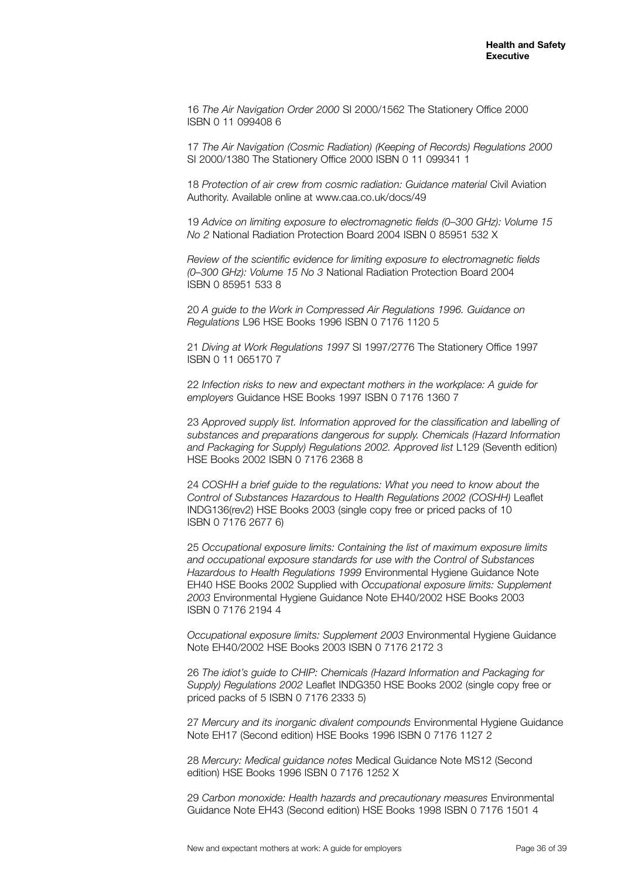16 *The Air Navigation Order 2000* SI 2000/1562 The Stationery Office 2000 ISBN 0 11 099408 6

17 *The Air Navigation (Cosmic Radiation) (Keeping of Records) Regulations 2000*  SI 2000/1380 The Stationery Office 2000 ISBN 0 11 099341 1

18 *Protection of air crew from cosmic radiation: Guidance material* Civil Aviation Authority. Available online at www.caa.co.uk/docs/49

19 *Advice on limiting exposure to electromagnetic fields (0–300 GHz): Volume 15 No 2* National Radiation Protection Board 2004 ISBN 0 85951 532 X

*Review of the scientific evidence for limiting exposure to electromagnetic fields (0–300 GHz): Volume 15 No 3* National Radiation Protection Board 2004 ISBN 0 85951 533 8

20 *A guide to the Work in Compressed Air Regulations 1996. Guidance on Regulations* L96 HSE Books 1996 ISBN 0 7176 1120 5

21 *Diving at Work Regulations 1997* SI 1997/2776 The Stationery Office 1997 ISBN 0 11 065170 7

22 *Infection risks to new and expectant mothers in the workplace: A guide for employers* Guidance HSE Books 1997 ISBN 0 7176 1360 7

23 *Approved supply list. Information approved for the classification and labelling of substances and preparations dangerous for supply. Chemicals (Hazard Information and Packaging for Supply) Regulations 2002. Approved list* L129 (Seventh edition) HSE Books 2002 ISBN 0 7176 2368 8

24 *COSHH a brief guide to the regulations: What you need to know about the Control of Substances Hazardous to Health Regulations 2002 (COSHH)* Leaflet INDG136(rev2) HSE Books 2003 (single copy free or priced packs of 10 ISBN 0 7176 2677 6)

25 *Occupational exposure limits: Containing the list of maximum exposure limits and occupational exposure standards for use with the Control of Substances Hazardous to Health Regulations 1999* Environmental Hygiene Guidance Note EH40 HSE Books 2002 Supplied with *Occupational exposure limits: Supplement 2003* Environmental Hygiene Guidance Note EH40/2002 HSE Books 2003 ISBN 0 7176 2194 4

*Occupational exposure limits: Supplement 2003* Environmental Hygiene Guidance Note EH40/2002 HSE Books 2003 ISBN 0 7176 2172 3

26 *The idiot's guide to CHIP: Chemicals (Hazard Information and Packaging for Supply) Regulations 2002* Leaflet INDG350 HSE Books 2002 (single copy free or priced packs of 5 ISBN 0 7176 2333 5)

27 *Mercury and its inorganic divalent compounds* Environmental Hygiene Guidance Note EH17 (Second edition) HSE Books 1996 ISBN 0 7176 1127 2

28 *Mercury: Medical guidance notes* Medical Guidance Note MS12 (Second edition) HSE Books 1996 ISBN 0 7176 1252 X

29 *Carbon monoxide: Health hazards and precautionary measures* Environmental Guidance Note EH43 (Second edition) HSE Books 1998 ISBN 0 7176 1501 4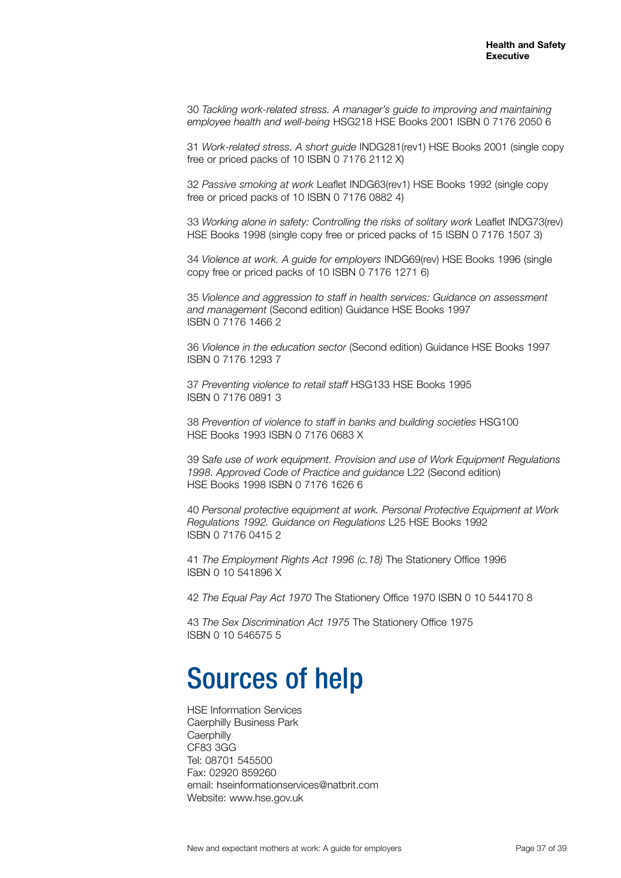30 *Tackling work-related stress. A manager's guide to improving and maintaining employee health and well-being* HSG218 HSE Books 2001 ISBN 0 7176 2050 6

31 *Work-related stress. A short guide* INDG281(rev1) HSE Books 2001 (single copy free or priced packs of 10 ISBN 0 7176 2112 X)

32 *Passive smoking at work* Leaflet INDG63(rev1) HSE Books 1992 (single copy free or priced packs of 10 ISBN 0 7176 0882 4)

33 *Working alone in safety: Controlling the risks of solitary work* Leaflet INDG73(rev) HSE Books 1998 (single copy free or priced packs of 15 ISBN 0 7176 1507 3)

34 *Violence at work. A guide for employers* INDG69(rev) HSE Books 1996 (single copy free or priced packs of 10 ISBN 0 7176 1271 6)

35 *Violence and aggression to staff in health services: Guidance on assessment and management* (Second edition) Guidance HSE Books 1997 ISBN 0 7176 1466 2

36 *Violence in the education sector* (Second edition) Guidance HSE Books 1997 ISBN 0 7176 1293 7

37 *Preventing violence to retail staff* HSG133 HSE Books 1995 ISBN 0 7176 0891 3

38 *Prevention of violence to staff in banks and building societies* HSG100 HSE Books 1993 ISBN 0 7176 0683 X

39 S*afe use of work equipment. Provision and use of Work Equipment Regulations 1998. Approved Code of Practice and guidance* L22 (Second edition) HSE Books 1998 ISBN 0 7176 1626 6

40 *Personal protective equipment at work. Personal Protective Equipment at Work Regulations 1992. Guidance on Regulations* L25 HSE Books 1992 ISBN 0 7176 0415 2

41 *The Employment Rights Act 1996 (c.18)* The Stationery Office 1996 ISBN 0 10 541896 X

42 *The Equal Pay Act 1970* The Stationery Office 1970 ISBN 0 10 544170 8

43 *The Sex Discrimination Act 1975* The Stationery Office 1975 ISBN 0 10 546575 5

### Sources of help

HSE Information Services Caerphilly Business Park **Caerphilly** CF83 3GG Tel: 08701 545500 Fax: 02920 859260 email: hseinformationservices@natbrit.com Website: www.hse.gov.uk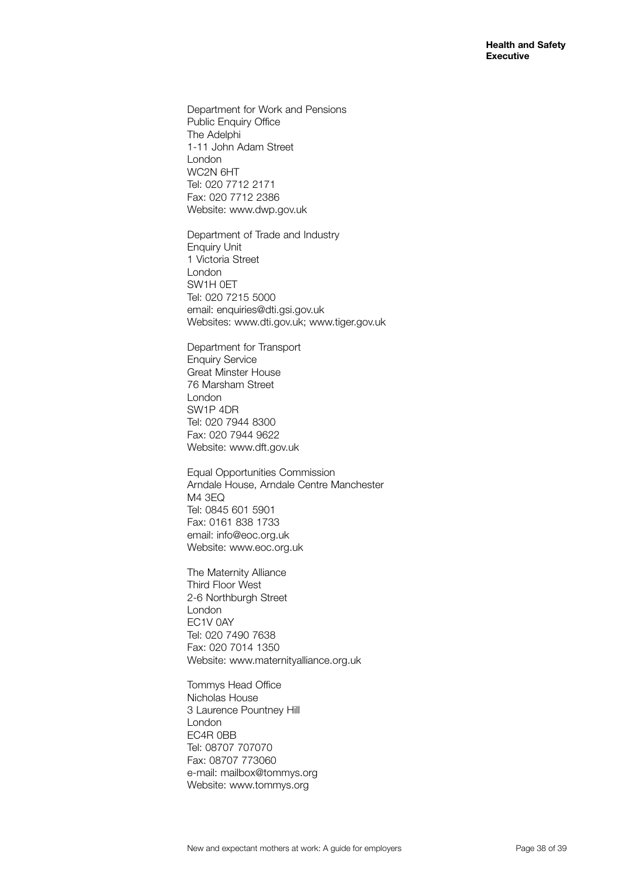Department for Work and Pensions Public Enquiry Office The Adelphi 1-11 John Adam Street London WC2N 6HT Tel: 020 7712 2171 Fax: 020 7712 2386 Website: www.dwp.gov.uk

Department of Trade and Industry Enquiry Unit 1 Victoria Street London SW1H 0ET Tel: 020 7215 5000 email: enquiries@dti.gsi.gov.uk Websites: www.dti.gov.uk; www.tiger.gov.uk

Department for Transport Enquiry Service Great Minster House 76 Marsham Street London SW1P 4DR Tel: 020 7944 8300 Fax: 020 7944 9622 Website: www.dft.gov.uk

Equal Opportunities Commission Arndale House, Arndale Centre Manchester M4 3EQ Tel: 0845 601 5901 Fax: 0161 838 1733 email: info@eoc.org.uk Website: www.eoc.org.uk

The Maternity Alliance Third Floor West 2-6 Northburgh Street London EC1V 0AY Tel: 020 7490 7638 Fax: 020 7014 1350 Website: www.maternityalliance.org.uk

Tommys Head Office Nicholas House 3 Laurence Pountney Hill London EC4R 0BB Tel: 08707 707070 Fax: 08707 773060 e-mail: mailbox@tommys.org Website: www.tommys.org